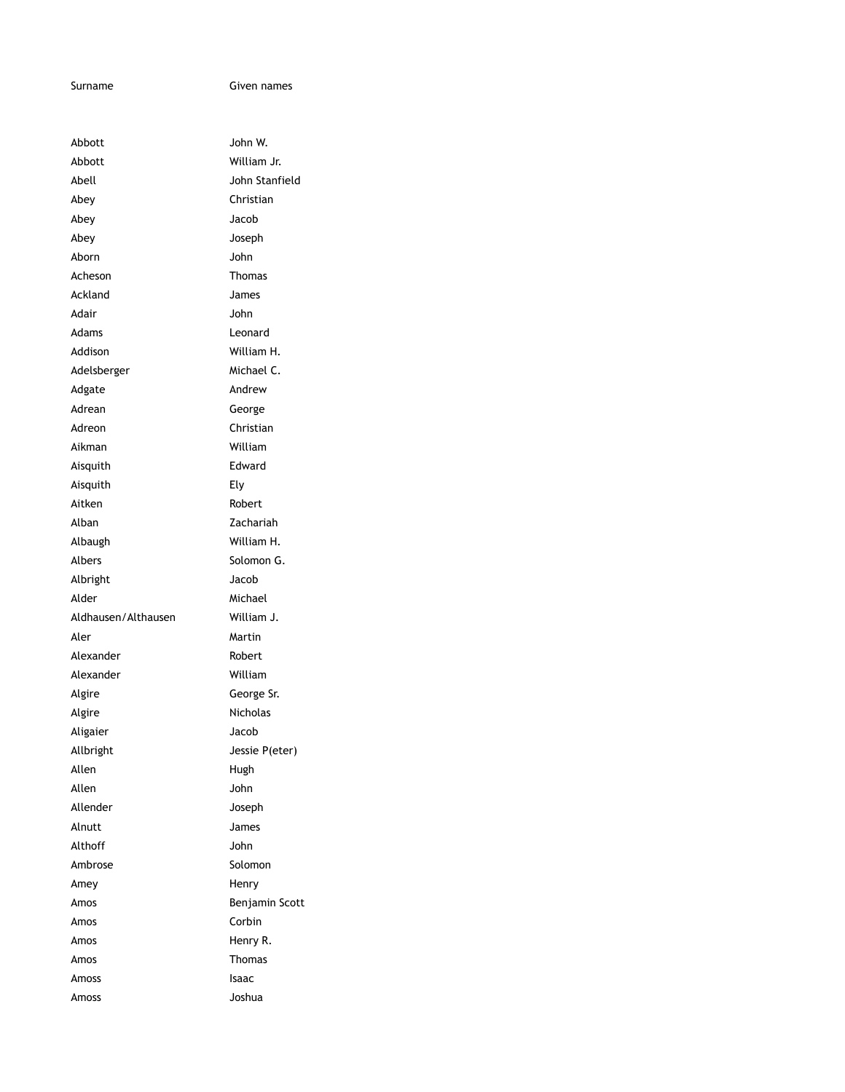Surname Given names

| Abbott              | John W.        |
|---------------------|----------------|
| Abbott              | William Jr.    |
| Abell               | John Stanfield |
| Abey                | Christian      |
| Abey                | Jacob          |
| Abey                | Joseph         |
| Aborn               | John           |
| Acheson             | Thomas         |
| Ackland             | James          |
| Adair               | John           |
| Adams               | Leonard        |
| Addison             | William H.     |
| Adelsberger         | Michael C.     |
| Adgate              | Andrew         |
| Adrean              | George         |
| Adreon              | Christian      |
| Aikman              | William        |
| Aisquith            | Edward         |
| Aisquith            | Ely            |
| Aitken              | Robert         |
| Alban               | Zachariah      |
| Albaugh             | William H.     |
| Albers              | Solomon G.     |
| Albright            | Jacob          |
| Alder               | Michael        |
| Aldhausen/Althausen | William J.     |
| Aler                | Martin         |
| Alexander           | Robert         |
| Alexander           | William        |
| Algire              | George Sr.     |
| Algire              | Nicholas       |
| Aligaier            | Jacob          |
| Allbright           | Jessie P(eter) |
| Allen               | Hugh           |
| Allen               | John           |
| Allender            | Joseph         |
| Alnutt              | James          |
| Althoff             | John           |
| Ambrose             | Solomon        |
| Amey                | Henry          |
| Amos                | Benjamin Scott |
| Amos                | Corbin         |
| Amos                | Henry R.       |
| Amos                | Thomas         |
| Amoss               | Isaac          |
| Amoss               | Joshua         |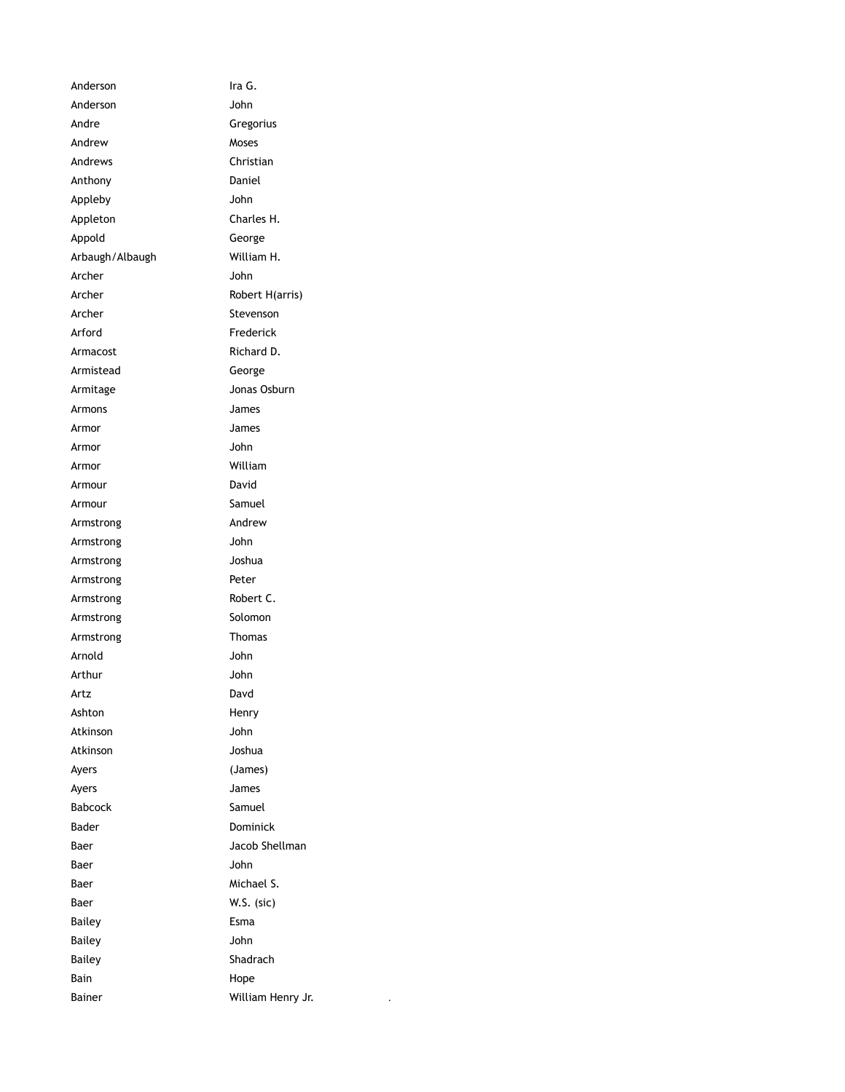Anderson Ira G. Anderson John Andre Gregorius Andrew Moses Andrews Christian Anthony Daniel Appleby John Appleton Charles H. Appold George Arbaugh/Albaugh William H. Archer John Archer Robert H(arris) Archer Stevenson Arford **Frederick** Armacost Richard D. Armistead George Armitage Jonas Osburn Armons James Armor James Armor John Armor William Armour David Armour Samuel Armstrong Andrew Armstrong John Armstrong Joshua Armstrong Peter Armstrong Robert C. Armstrong Solomon Armstrong Thomas Arnold John Arthur John Artz Davd Ashton Henry Atkinson John Atkinson Joshua Ayers (James) Ayers James Babcock Samuel Bader **Dominick** Baer Jacob Shellman Baer John Baer Michael S. Baer W.S. (sic) Bailey **Esma** Bailey **John** Bailey **Shadrach** Bain Hope Bainer William Henry Jr.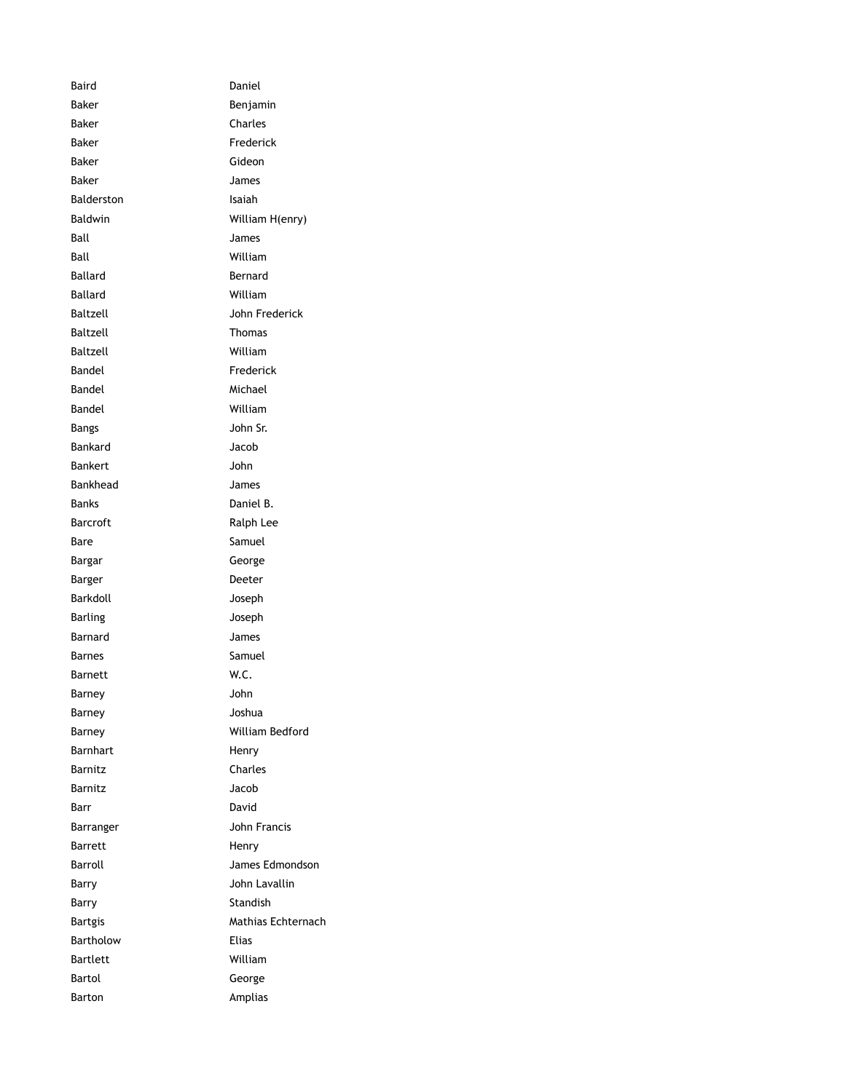Baird Daniel Baker **Baker** Benjamin Baker Charles Baker Frederick Baker Gideon Baker James Balderston Isaiah Baldwin William H(enry) Ball James Ball William Ballard **Bernard** Ballard William Baltzell John Frederick Baltzell Thomas Baltzell William Bandel Frederick Bandel **Michael** Bandel William Bangs John Sr. Bankard Jacob Bankert John Bankhead James Banks Daniel B. Barcroft Ralph Lee Bare Samuel Bargar George Barger **Deeter** Barkdoll Joseph Barling **Barling** Joseph Barnard James Barnes Samuel Barnett W.C. Barney John Barney Joshua Barney William Bedford Barnhart Henry Barnitz Charles Barnitz Jacob Barr David Barranger John Francis Barrett Henry Barroll James Edmondson Barry John Lavallin Barry **Standish** Bartgis Mathias Echternach Bartholow **Elias** Bartlett William Bartol George Barton **Amplias**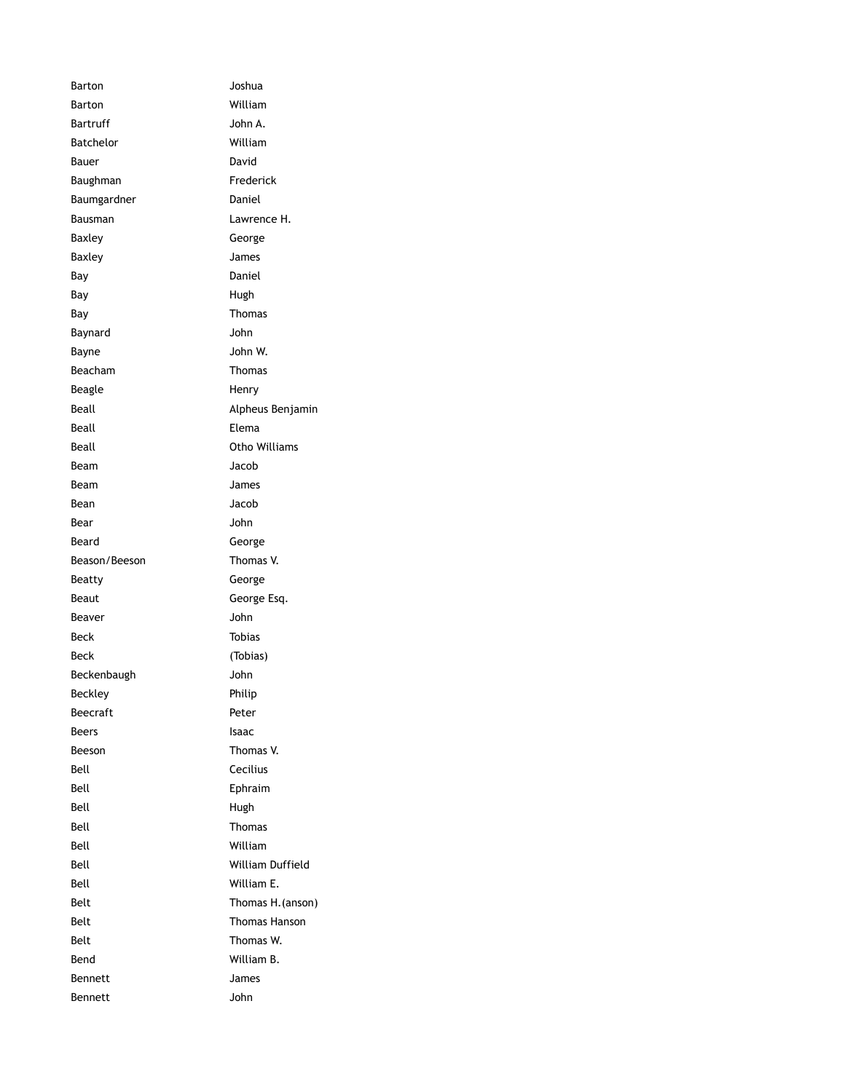| Barton           | Joshua               |
|------------------|----------------------|
| Barton           | William              |
| Bartruff         | John A.              |
| <b>Batchelor</b> | William              |
| Bauer            | David                |
| Baughman         | Frederick            |
| Baumgardner      | Daniel               |
| Bausman          | Lawrence H.          |
| Baxley           | George               |
| Baxley           | James                |
| Bay              | Daniel               |
| Bay              | Hugh                 |
| Bay              | <b>Thomas</b>        |
| Baynard          | John                 |
| Bayne            | John W.              |
| Beacham          | <b>Thomas</b>        |
| Beagle           | Henry                |
| Beall            | Alpheus Benjamin     |
| Beall            | Elema                |
| Beall            | Otho Williams        |
| Beam             | Jacob                |
| Beam             | James                |
| Bean             | Jacob                |
| Bear             | John                 |
| Beard            | George               |
| Beason/Beeson    | Thomas V.            |
| Beatty           | George               |
| Beaut            | George Esq.          |
| Beaver           | John                 |
| Beck             | <b>Tobias</b>        |
| Beck             | (Tobias)             |
| Beckenbaugh      | John                 |
| Beckley          | Philip               |
| <b>Beecraft</b>  | Peter                |
| Beers            | Isaac                |
| Beeson           | Thomas V.            |
| Bell             | Cecilius             |
| Bell             | Ephraim              |
| Bell             | Hugh                 |
| Bell             | <b>Thomas</b>        |
| Bell             | William              |
| Bell             | William Duffield     |
| Bell             | William E.           |
| Belt             | Thomas H. (anson)    |
| Belt             | <b>Thomas Hanson</b> |
| Belt             | Thomas W.            |
| Bend             | William B.           |
| Bennett          | James                |
| Bennett          | John                 |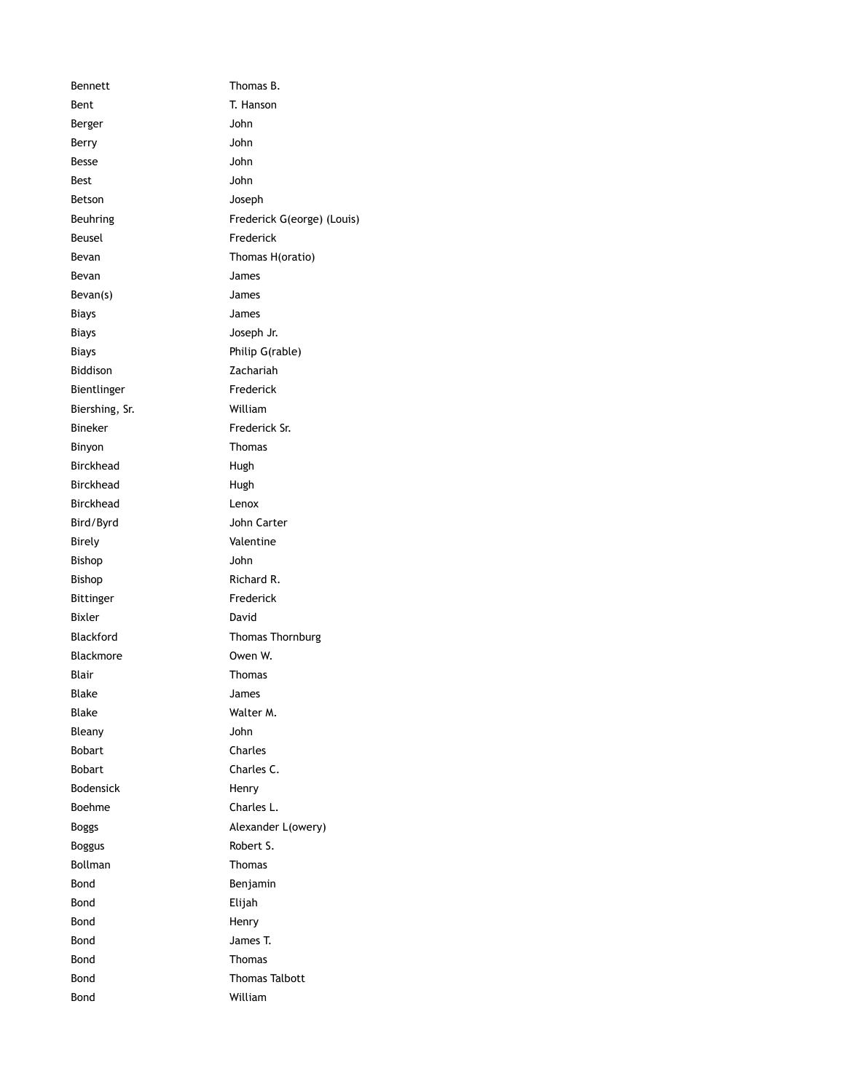Bennett Thomas B. Bent T. Hanson Berger John Berry John Besse John Best John Betson Joseph Beuhring Frederick G(eorge) (Louis) Beusel Frederick Bevan Thomas H(oratio) Bevan James Bevan(s) James Biays James Biays Joseph Jr. Biays **Philip G(rable)** Biddison Zachariah Bientlinger Frederick Biershing, Sr. William Bineker Frederick Sr. Binyon **Thomas** Birckhead Hugh Birckhead Hugh Birckhead Lenox Bird/Byrd John Carter Birely Valentine Bishop John Bishop Richard R. Bittinger Frederick Bixler David Blackford Thomas Thornburg Blackmore **Owen W.** Blair Thomas Blake James Blake Walter M. Bleany John Bobart Charles Bobart Charles C. Bodensick Henry Boehme Charles L. Boggs Boggs Alexander L(owery) Boggus Robert S. Bollman **Thomas** Bond Benjamin Bond Elijah Bond Henry Bond James T. Bond Thomas Bond **Thomas Talbott** Bond William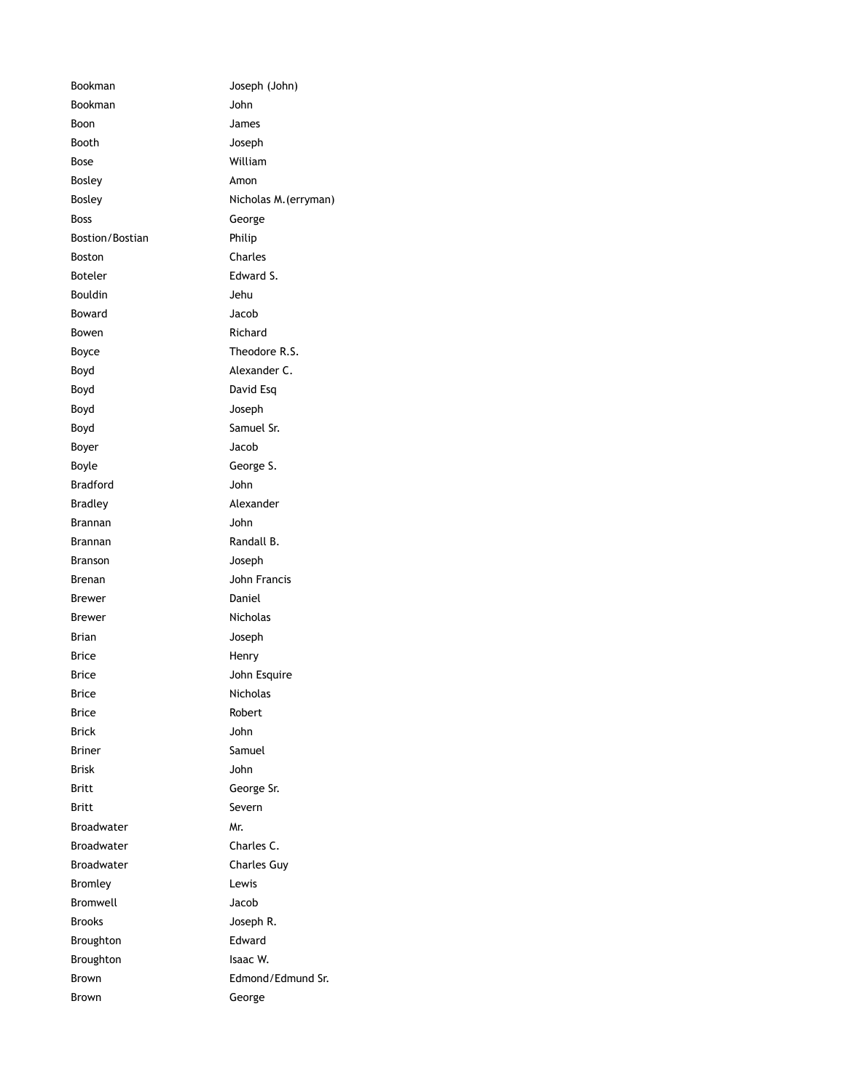| Bookman           | Joseph (John)         |
|-------------------|-----------------------|
| Bookman           | John                  |
| Boon              | James                 |
| Booth             | Joseph                |
| Bose              | William               |
| Bosley            | Amon                  |
| Bosley            | Nicholas M. (erryman) |
| <b>Boss</b>       | George                |
| Bostion/Bostian   | Philip                |
| <b>Boston</b>     | Charles               |
| Boteler           | Edward S.             |
| <b>Bouldin</b>    | Jehu                  |
| Boward            | Jacob                 |
| Bowen             | Richard               |
| Boyce             | Theodore R.S.         |
| Boyd              | Alexander C.          |
| Boyd              | David Esq             |
| Boyd              | Joseph                |
| Boyd              | Samuel Sr.            |
| Boyer             | Jacob                 |
| Boyle             | George S.             |
| <b>Bradford</b>   | John                  |
| Bradley           | Alexander             |
| Brannan           | John                  |
| Brannan           | Randall B.            |
| <b>Branson</b>    | Joseph                |
| Brenan            | John Francis          |
| Brewer            | Daniel                |
| Brewer            | <b>Nicholas</b>       |
| Brian             | Joseph                |
| Brice             | Henry                 |
| Brice             | John Esquire          |
| Brice             | Nicholas              |
| Brice             | Robert                |
| <b>Brick</b>      | John                  |
| <b>Briner</b>     | Samuel                |
| <b>Brisk</b>      | John                  |
| Britt             | George Sr.            |
| Britt             | Severn                |
| <b>Broadwater</b> | Mr.                   |
| <b>Broadwater</b> | Charles C.            |
| <b>Broadwater</b> | <b>Charles Guy</b>    |
| <b>Bromley</b>    | Lewis                 |
| <b>Bromwell</b>   | Jacob                 |
| <b>Brooks</b>     | Joseph R.             |
| Broughton         | Edward                |
| Broughton         | Isaac W.              |
| Brown             | Edmond/Edmund Sr.     |
| <b>Brown</b>      | George                |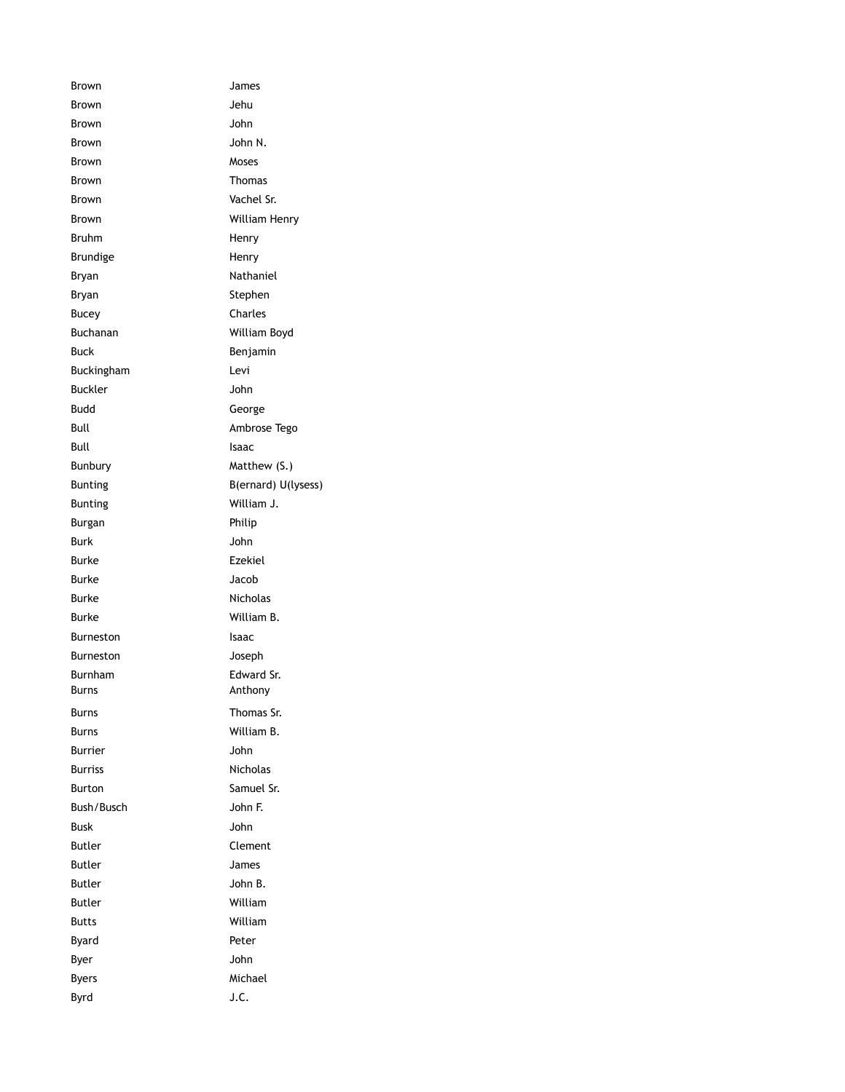Brown James Brown Jehu Brown John Brown John N. Brown Moses Brown Thomas Brown Vachel Sr. Brown William Henry Bruhm Henry Brundige Henry Bryan **Nathaniel** Bryan Stephen Bucey **Charles** Buchanan William Boyd Buck **Buck** Benjamin Buckingham Levi Buckler **John** Budd George Bull **Ambrose** Tego Bull **Bull** Isaac Bunbury Matthew (S.) Bunting B(ernard) U(lysess) Bunting William J. Burgan **Philip** Burk John Burke Ezekiel Burke Jacob Burke Nicholas Burke William B. Burneston Isaac Burneston Joseph Burnham Edward Sr. Burns **Anthony** Burns **Burns** Thomas Sr. Burns William B. Burrier John Burriss Nicholas Burton Samuel Sr. Bush/Busch John F. Busk John Butler **Clement** Butler James Butler **Butler** John B. Butler William Butts William Byard **Peter** Byer John Byers Michael Byrd J.C.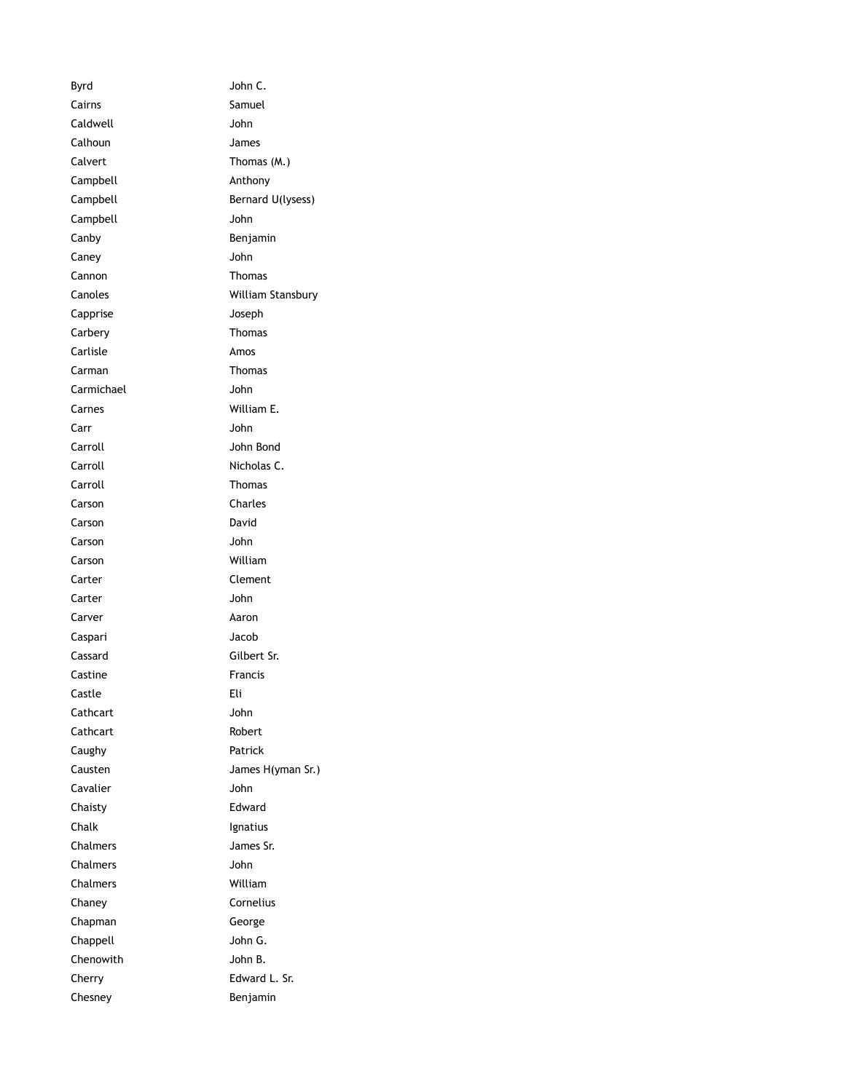Byrd John C. Cairns Samuel Caldwell John Calhoun James Calvert Thomas (M.) Campbell **Anthony** Campbell Bernard U(lysess) Campbell John Canby **Benjamin** Caney John Cannon Thomas Canoles William Stansbury Capprise Joseph Carbery Thomas Carlisle **Amos** Carman **Thomas** Carmichael John Carnes William E. Carr John Carroll John Bond Carroll Nicholas C. Carroll Thomas Carson Charles Carson David Carson John Carson William Carter Clement Carter John Carver **Aaron** Caspari Jacob Cassard Gilbert Sr. Castine **Francis** Castle Eli Cathcart John Cathcart Robert Caughy **Patrick** Causten James H(yman Sr.) Cavalier **John** Chaisty Edward Chalk Ignatius Chalmers James Sr. Chalmers John Chalmers William Chaney Cornelius Chapman George Chappell John G. Chenowith John B. Cherry Edward L. Sr. Chesney **Benjamin**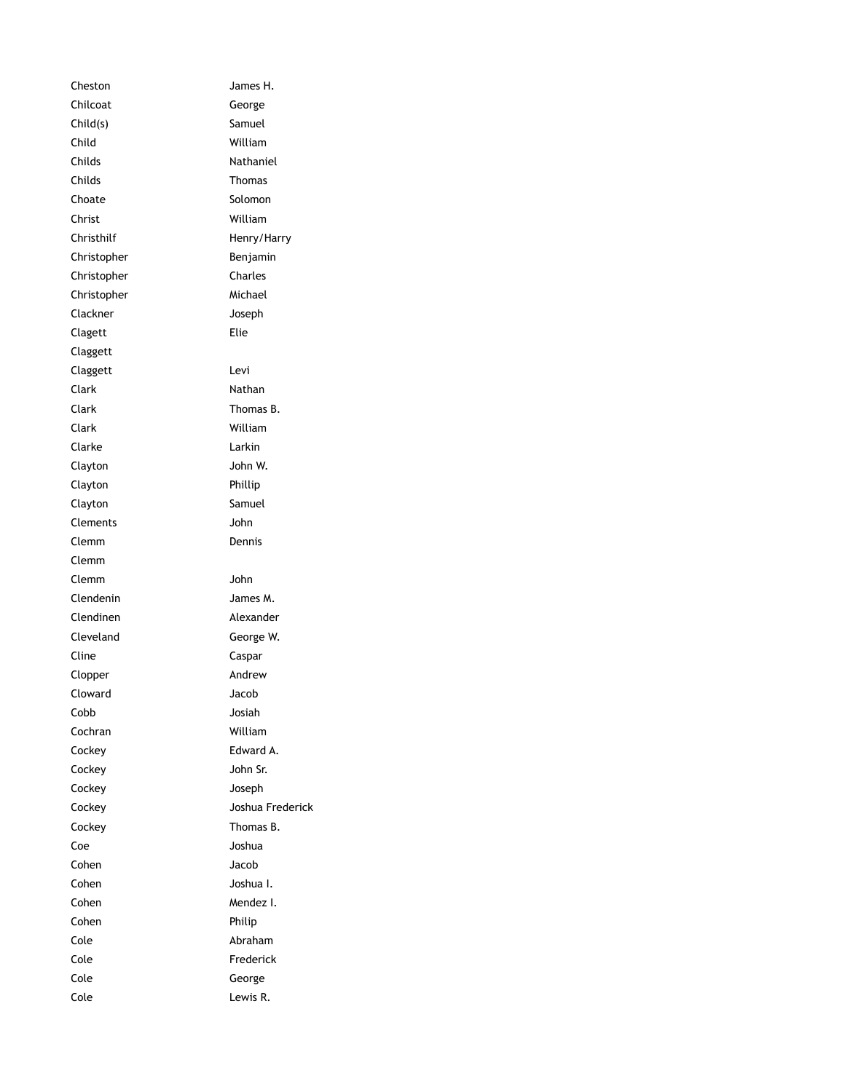Cheston James H. Chilcoat George Child(s) Samuel Child William Childs Nathaniel Childs Thomas Choate Solomon Christ William Christhilf Henry/Harry Christopher Benjamin Christopher Charles Christopher Michael Clackner Joseph Clagett Elie Claggett Claggett Levi Clark Nathan Clark Thomas B. Clark William Clarke Larkin Clayton John W. Clayton Phillip Clayton Samuel Clements John Clemm Dennis Clemm Clemm John Clendenin James M. Clendinen Alexander Cleveland George W. Cline Caspar Clopper Andrew Cloward Jacob Cobb Josiah Cochran William Cockey Edward A. Cockey John Sr. Cockey Joseph Cockey Joshua Frederick Cockey Thomas B. Coe Joshua Cohen Jacob Cohen Joshua I. Cohen Mendez I. Cohen Philip Cole Abraham Cole **Frederick** Cole George Cole Lewis R.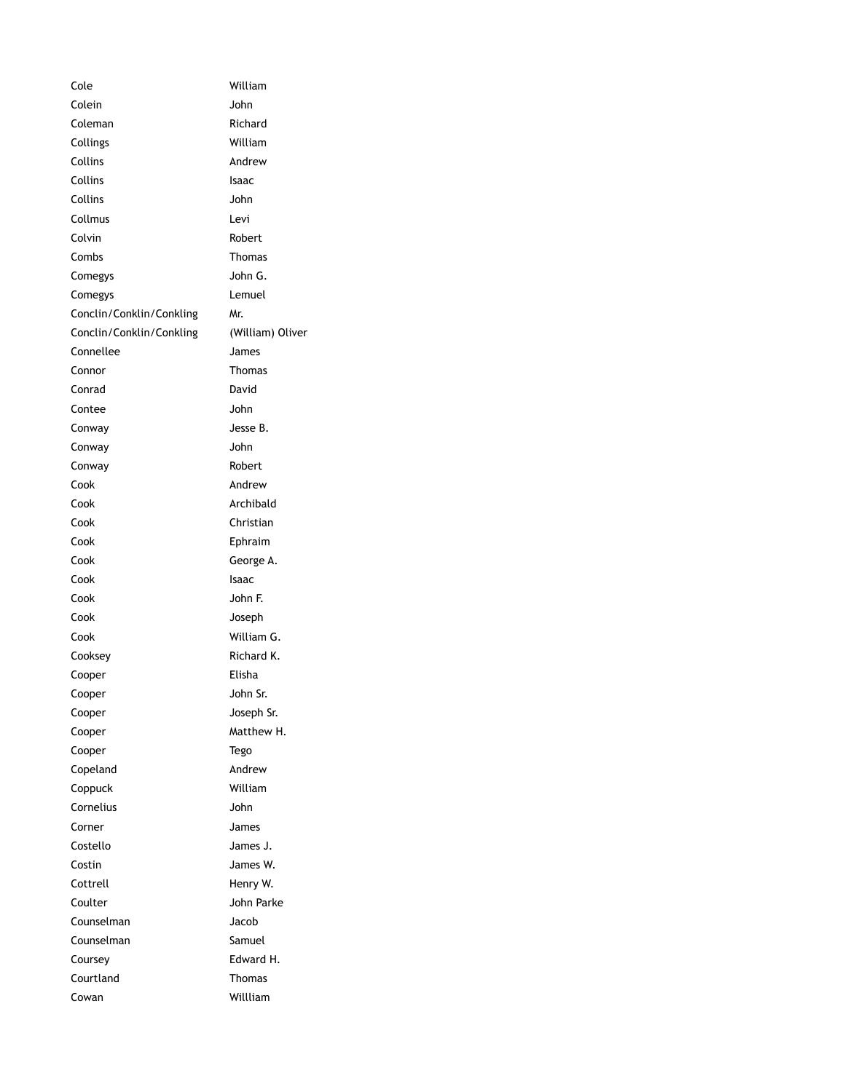| Cole                     | William          |
|--------------------------|------------------|
| Colein                   | John             |
| Coleman                  | Richard          |
| Collings                 | William          |
| Collins                  | Andrew           |
| Collins                  | Isaac            |
| Collins                  | John             |
| Collmus                  | Levi             |
| Colvin                   | Robert           |
| Combs                    | Thomas           |
| Comegys                  | John G.          |
| Comegys                  | Lemuel           |
| Conclin/Conklin/Conkling | Mr.              |
| Conclin/Conklin/Conkling | (William) Oliver |
| Connellee                | James            |
| Connor                   | Thomas           |
| Conrad                   | David            |
| Contee                   | John             |
| Conway                   | Jesse B.         |
| Conway                   | John             |
| Conway                   | Robert           |
| Cook                     | Andrew           |
| Cook                     | Archibald        |
| Cook                     | Christian        |
| Cook                     | Ephraim          |
| Cook                     | George A.        |
| Cook                     | Isaac            |
| Cook                     | John F.          |
| Cook                     | Joseph           |
| Cook                     | William G.       |
| Cooksey                  | Richard K.       |
| Cooper                   | Elisha           |
| Cooper                   | John Sr.         |
| Cooper                   | Joseph Sr.       |
| Cooper                   | Matthew H.       |
| Cooper                   | Tego             |
| Copeland                 | Andrew           |
| Coppuck                  | William          |
| Cornelius                | John             |
| Corner                   | James            |
| Costello                 | James J.         |
| Costin                   | James W.         |
| Cottrell                 | Henry W.         |
| Coulter                  | John Parke       |
| Counselman               | Jacob            |
| Counselman               | Samuel           |
| Coursey                  | Edward H.        |
| Courtland                | Thomas           |
| Cowan                    | Willliam         |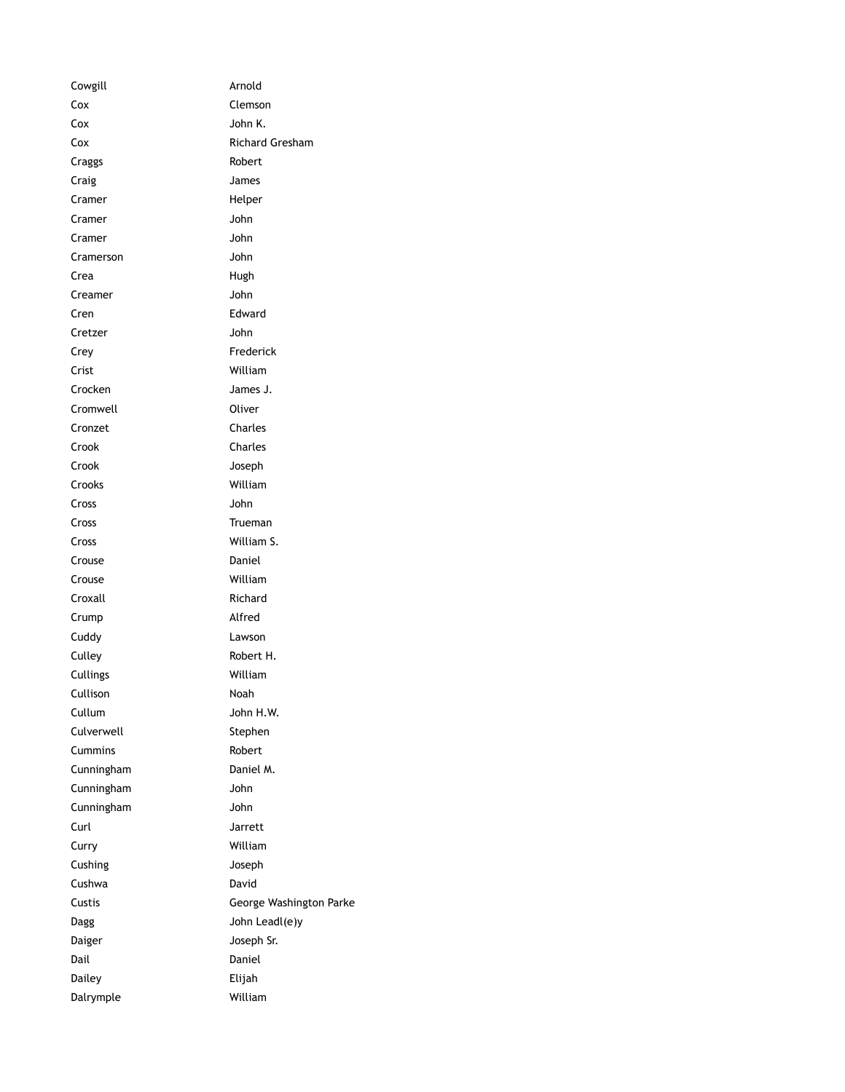| Cowgill    | Arnold                  |
|------------|-------------------------|
| Сох        | Clemson                 |
| Cox        | John K.                 |
| Cox        | <b>Richard Gresham</b>  |
| Craggs     | Robert                  |
| Craig      | James                   |
| Cramer     | Helper                  |
| Cramer     | John                    |
| Cramer     | John                    |
| Cramerson  | John                    |
| Crea       | Hugh                    |
| Creamer    | John                    |
| Cren       | Edward                  |
| Cretzer    | John                    |
| Crey       | Frederick               |
| Crist      | William                 |
| Crocken    | James J.                |
| Cromwell   | Oliver                  |
| Cronzet    | Charles                 |
| Crook      | Charles                 |
| Crook      | Joseph                  |
| Crooks     | William                 |
| Cross      | John                    |
| Cross      | Trueman                 |
| Cross      | William S.              |
| Crouse     | Daniel                  |
| Crouse     | William                 |
| Croxall    | Richard                 |
| Crump      | Alfred                  |
| Cuddy      | Lawson                  |
| Culley     | Robert H.               |
| Cullings   | William                 |
| Cullison   | Noah                    |
| Cullum     | John H.W.               |
| Culverwell | Stephen                 |
| Cummins    | Robert                  |
| Cunningham | Daniel M.               |
| Cunningham | John                    |
| Cunningham | John                    |
| Curl       | Jarrett                 |
| Curry      | William                 |
| Cushing    | Joseph                  |
| Cushwa     | David                   |
| Custis     | George Washington Parke |
| Dagg       | John Leadl(e)y          |
| Daiger     | Joseph Sr.              |
| Dail       | Daniel                  |
| Dailey     | Elijah                  |
| Dalrymple  | William                 |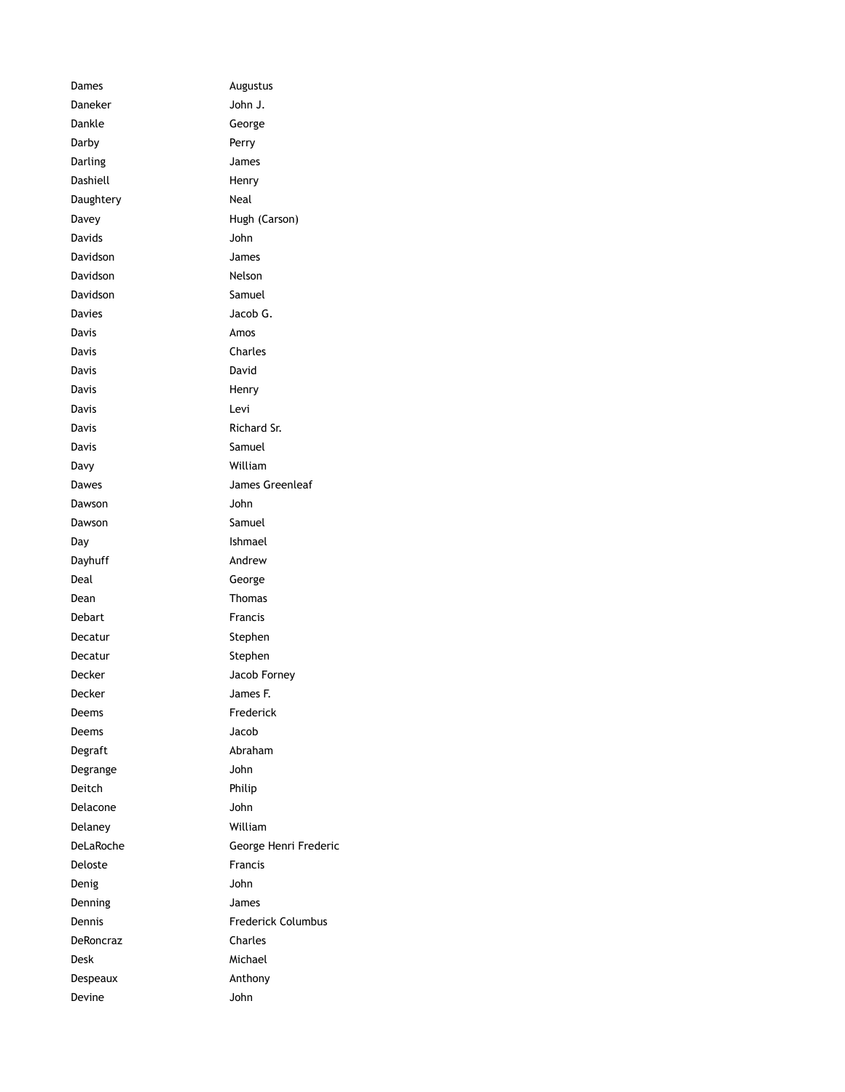| Dames     | Augustus                  |
|-----------|---------------------------|
| Daneker   | John J.                   |
| Dankle    | George                    |
| Darby     | Perry                     |
| Darling   | James                     |
| Dashiell  | Henry                     |
| Daughtery | Neal                      |
| Davey     | Hugh (Carson)             |
| Davids    | John                      |
| Davidson  | James                     |
| Davidson  | Nelson                    |
| Davidson  | Samuel                    |
| Davies    | Jacob G.                  |
| Davis     | Amos                      |
| Davis     | Charles                   |
| Davis     | David                     |
| Davis     | Henry                     |
| Davis     | Levi                      |
| Davis     | Richard Sr.               |
| Davis     | Samuel                    |
| Davy      | William                   |
| Dawes     | James Greenleaf           |
| Dawson    | John                      |
| Dawson    | Samuel                    |
| Day       | Ishmael                   |
| Dayhuff   | Andrew                    |
| Deal      | George                    |
| Dean      | <b>Thomas</b>             |
| Debart    | <b>Francis</b>            |
| Decatur   | Stephen                   |
| Decatur   | Stephen                   |
| Decker    | Jacob Forney              |
| Decker    | James F.                  |
| Deems     | Frederick                 |
| Deems     | Jacob                     |
| Degraft   | Abraham                   |
| Degrange  | John                      |
| Deitch    | Philip                    |
| Delacone  | John                      |
| Delanev   | William                   |
| DeLaRoche | George Henri Frederic     |
| Deloste   | Francis                   |
| Denig     | John                      |
| Denning   | James                     |
| Dennis    | <b>Frederick Columbus</b> |
| DeRoncraz | Charles                   |
| Desk      | Michael                   |
| Despeaux  | Anthony                   |
| Devine    | John                      |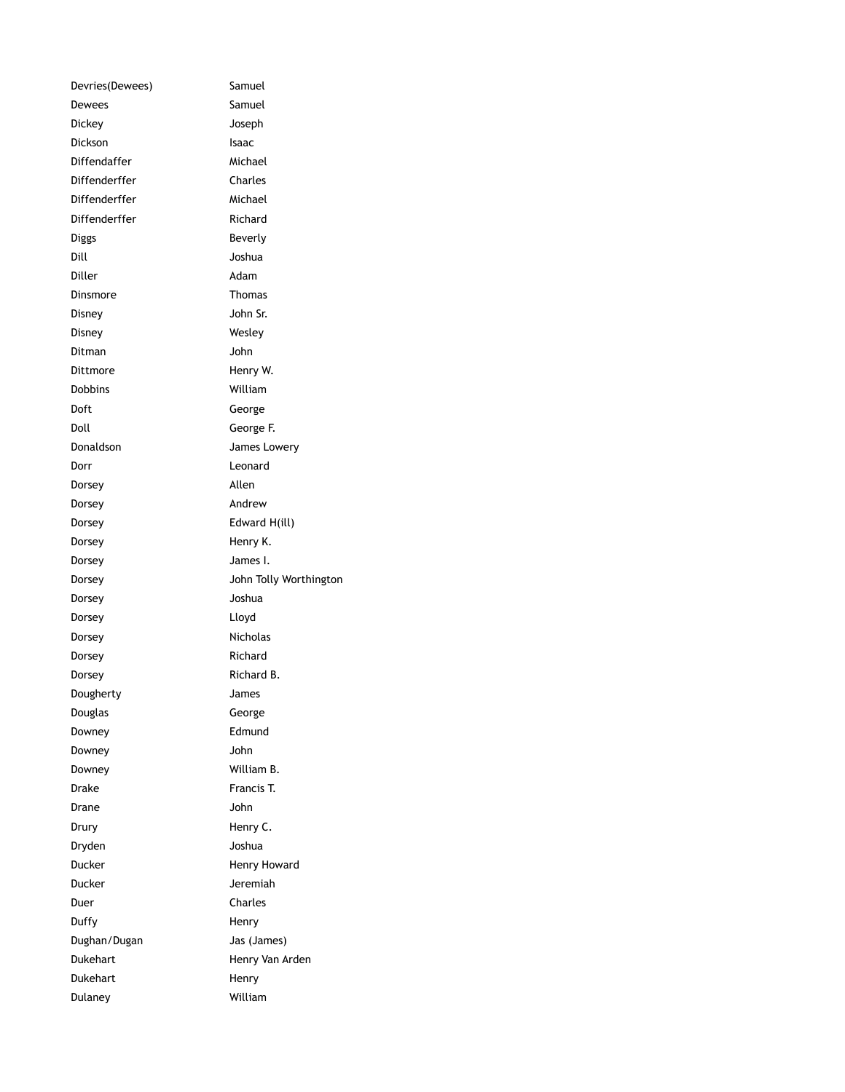| Samuel                 |
|------------------------|
| Samuel                 |
| Joseph                 |
| Isaac                  |
| Michael                |
| Charles                |
| Michael                |
| Richard                |
| Beverly                |
| Joshua                 |
| Adam                   |
| Thomas                 |
| John Sr.               |
| Wesley                 |
| John                   |
| Henry W.               |
| William                |
| George                 |
| George F.              |
| James Lowery           |
| Leonard                |
| Allen                  |
| Andrew                 |
| Edward H(ill)          |
| Henry K.               |
| James I.               |
| John Tolly Worthington |
| Joshua                 |
| Lloyd                  |
| Nicholas               |
| Richard                |
| Richard B.             |
| James                  |
| George                 |
| Edmund                 |
| John                   |
| William B.             |
| Francis T.             |
| John                   |
| Henry C.               |
| Joshua                 |
| Henry Howard           |
| Jeremiah               |
| Charles                |
| Henry                  |
| Jas (James)            |
| Henry Van Arden        |
| Henry                  |
| William                |
|                        |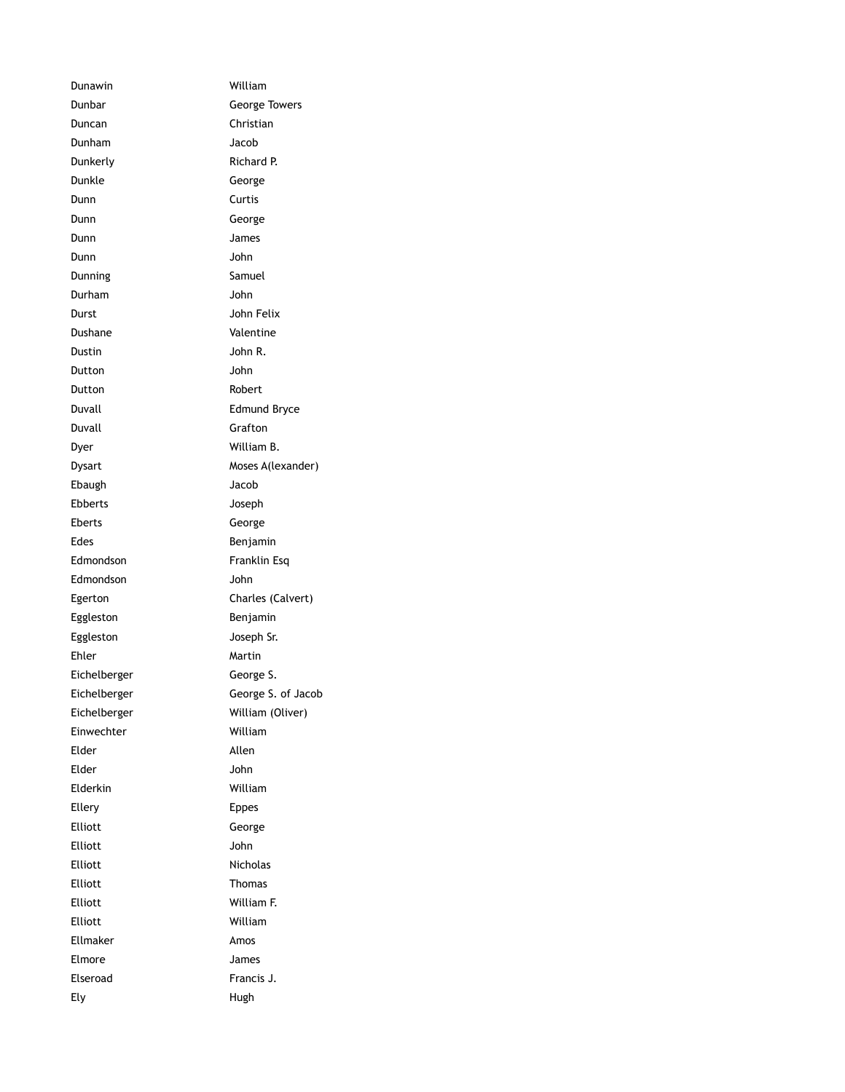Dunawin William Dunbar George Towers Duncan Christian Dunham Jacob Dunkerly Richard P. Dunkle George Dunn Curtis Dunn George Dunn James Dunn John Dunning Samuel Durham John Durst John Felix Dushane Valentine Dustin John R. Dutton John Dutton Robert Duvall Edmund Bryce Duvall Grafton Dyer William B. Dysart Moses A(lexander) Ebaugh Jacob Ebberts Joseph Eberts George Edes **Benjamin** Edmondson Franklin Esq Edmondson John Egerton Charles (Calvert) Eggleston **Benjamin** Eggleston Joseph Sr. Ehler Martin Eichelberger George S. Eichelberger George S. of Jacob Eichelberger William (Oliver) Einwechter William Elder Allen Elder John Elderkin William Ellery **Ellery Example 20** Elliott George Elliott John Elliott Nicholas Elliott Thomas Elliott William F. Elliott William Ellmaker Amos Elmore James Elseroad Francis J. Ely Hugh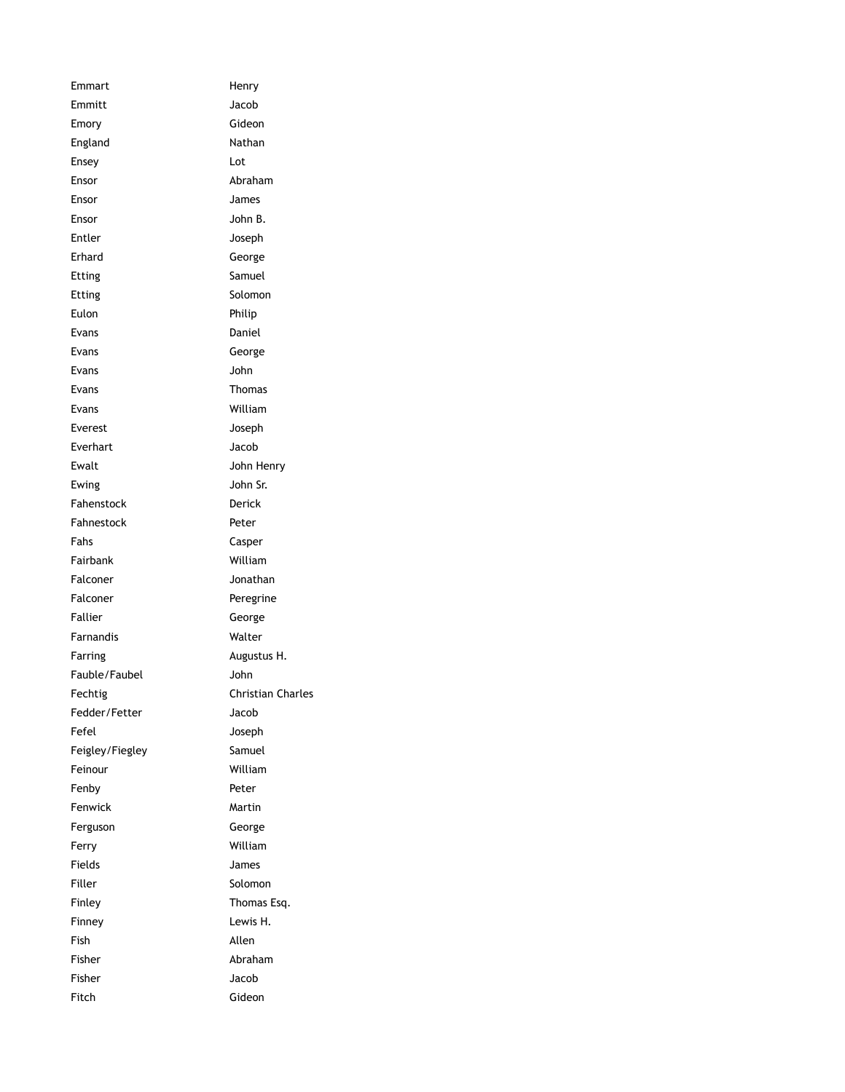| Emmart          | Henry             |
|-----------------|-------------------|
| Emmitt          | Jacob             |
| Emory           | Gideon            |
| England         | Nathan            |
| Ensey           | Lot               |
| Ensor           | Abraham           |
| Ensor           | James             |
| Ensor           | John B.           |
| Entler          | Joseph            |
| Erhard          | George            |
| Etting          | Samuel            |
| Etting          | Solomon           |
| Eulon           | Philip            |
| Evans           | Daniel            |
| Evans           | George            |
| Evans           | John              |
| Evans           | <b>Thomas</b>     |
| Evans           | William           |
| Everest         | Joseph            |
| Everhart        | Jacob             |
| Ewalt           | John Henry        |
| Ewing           | John Sr.          |
| Fahenstock      | Derick            |
| Fahnestock      | Peter             |
| Fahs            | Casper            |
| Fairbank        | William           |
| Falconer        | Jonathan          |
| Falconer        | Peregrine         |
| Fallier         | George            |
| Farnandis       | Walter            |
| Farring         | Augustus H.       |
| Fauble/Faubel   | John              |
| Fechtig         | Christian Charles |
| Fedder/Fetter   | Jacob             |
| Fefel           | Joseph            |
| Feigley/Fiegley | Samuel            |
| Feinour         | William           |
| Fenby           | Peter             |
| Fenwick         | Martin            |
| Ferguson        | George            |
| Ferry           | William           |
| Fields          | James             |
| Filler          | Solomon           |
| Finley          | Thomas Esq.       |
| Finney          | Lewis H.          |
| Fish            | Allen             |
| Fisher          | Abraham           |
| Fisher          | Jacob             |
| Fitch           | Gideon            |
|                 |                   |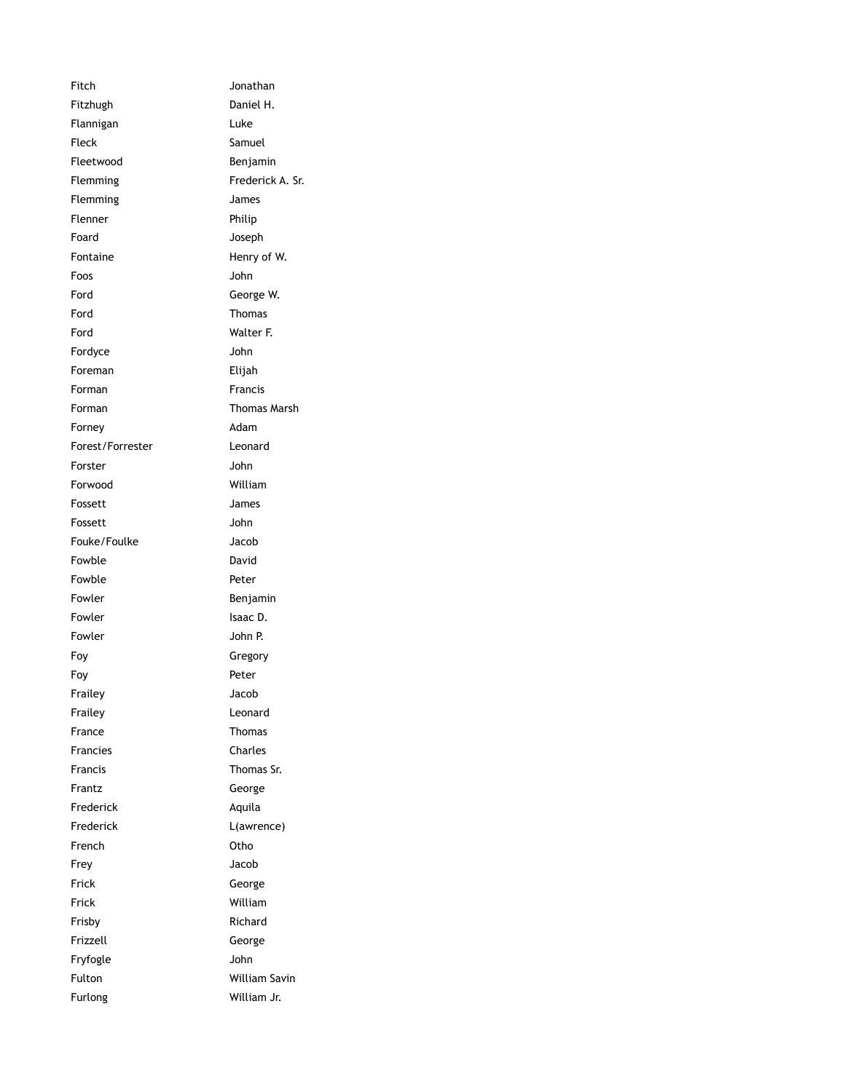Fitch Jonathan Fitzhugh Daniel H. Flannigan Luke Fleck Samuel Fleetwood Benjamin Flemming Frederick A. Sr. Flemming James Flenner Philip Foard Joseph Fontaine Henry of W. Foos John Ford George W. Ford Thomas Ford Walter F. Fordyce John Foreman Elijah Forman Francis Forman Thomas Marsh Forney **Adam** Forest/Forrester Leonard Forster John Forwood William Fossett James Fossett John Fouke/Foulke Jacob Fowble David Fowble **Peter** Fowler **Benjamin** Fowler **Isaac D.** Fowler **John P.** Foy Gregory Foy Peter Frailey Jacob Frailey **Leonard** France Thomas Francies Charles Francis Thomas Sr. Frantz George Frederick Aquila Frederick L(awrence) French Otho Frey Jacob Frick George Frick William Frisby Richard Frizzell George Fryfogle John Fulton William Savin Furlong William Jr.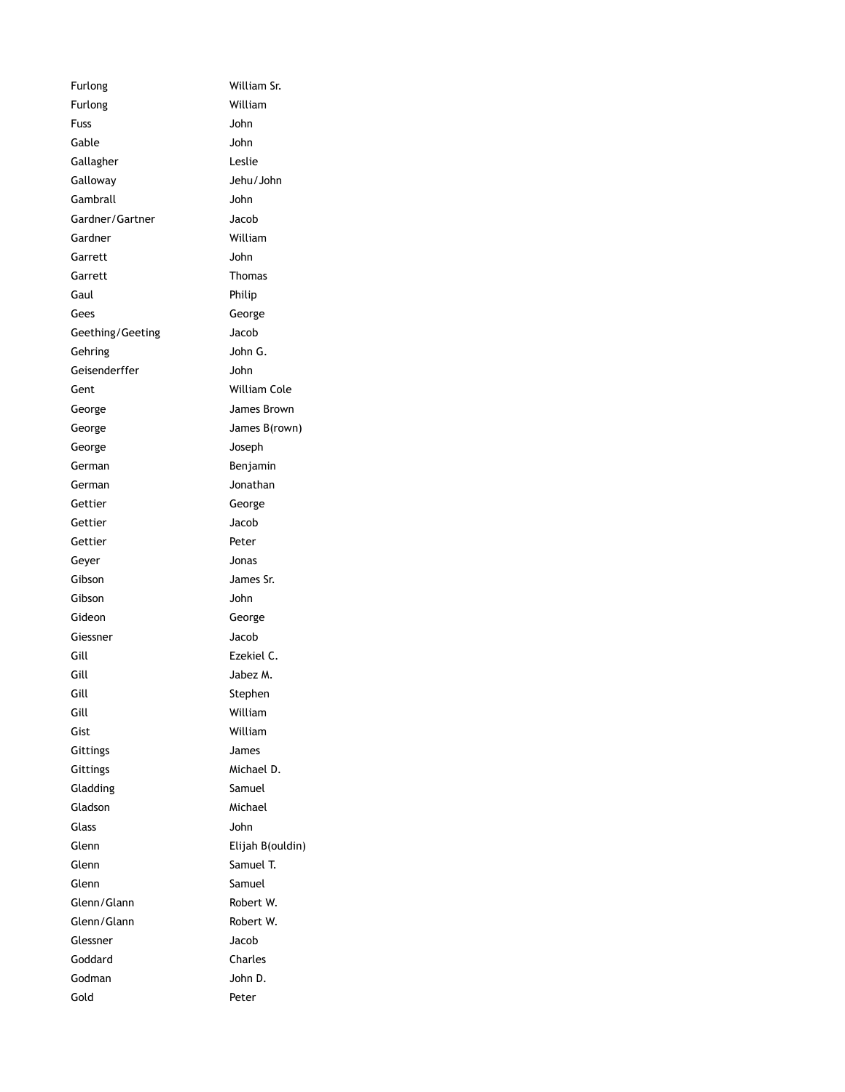| Furlong          | William Sr.      |
|------------------|------------------|
| Furlong          | William          |
| Fuss             | John             |
| Gable            | John             |
| Gallagher        | Leslie           |
| Galloway         | Jehu/John        |
| Gambrall         | John             |
| Gardner/Gartner  | Jacob            |
| Gardner          | William          |
| Garrett          | John             |
| Garrett          | <b>Thomas</b>    |
| Gaul             | Philip           |
| Gees             | George           |
| Geething/Geeting | Jacob            |
| Gehring          | John G.          |
| Geisenderffer    | John             |
| Gent             | William Cole     |
| George           | James Brown      |
| George           | James B(rown)    |
| George           | Joseph           |
| German           | Benjamin         |
| German           | Jonathan         |
| Gettier          | George           |
| Gettier          | Jacob            |
| Gettier          | Peter            |
| Geyer            | Jonas            |
| Gibson           | James Sr.        |
| Gibson           | John             |
| Gideon           | George           |
| Giessner         | Jacob            |
| Gill             | Ezekiel C.       |
| Gill             | Jabez M.         |
| Gill             | Stephen          |
| Gill             | William          |
| Gist             | William          |
| Gittings         | James            |
| Gittings         | Michael D.       |
| Gladding         | Samuel           |
| Gladson          | Michael          |
| Glass            | John             |
| Glenn            | Elijah B(ouldin) |
| Glenn            | Samuel T.        |
| Glenn            | Samuel           |
| Glenn/Glann      | Robert W.        |
| Glenn/Glann      | Robert W.        |
| Glessner         | Jacob            |
| Goddard          | Charles          |
| Godman           | John D.          |
| Gold             | Peter            |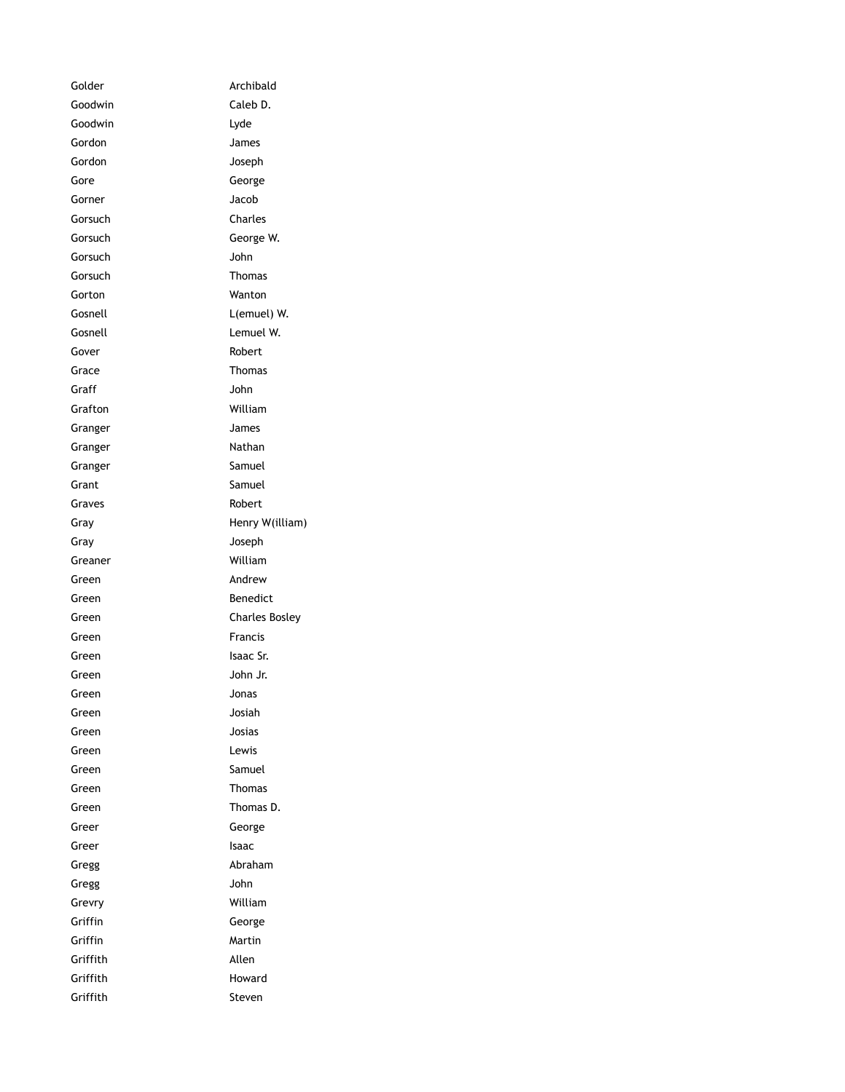Golder **Archibald** Goodwin Caleb D. Goodwin Lyde Gordon James Gordon Joseph Gore George Gorner Jacob Gorsuch Charles Gorsuch George W. Gorsuch John Gorsuch **Thomas** Gorton Wanton Gosnell **L**(emuel) W. Gosnell Lemuel W. Gover Robert Grace Thomas Graff John Grafton William Granger James Granger Nathan Granger Samuel Grant Samuel Graves **Robert** Gray **Henry W**(illiam) Gray Joseph Greaner William Green **Andrew** Green Benedict Green Charles Bosley Green Francis Green Isaac Sr. Green John Jr. Green Jonas Green Josiah Green Josias Green Lewis Green Samuel Green Thomas Green Thomas D. Greer George Greer Isaac Gregg **Abraham** Gregg John Grevry William Griffin George Griffin Martin Griffith Allen Griffith Howard Griffith Steven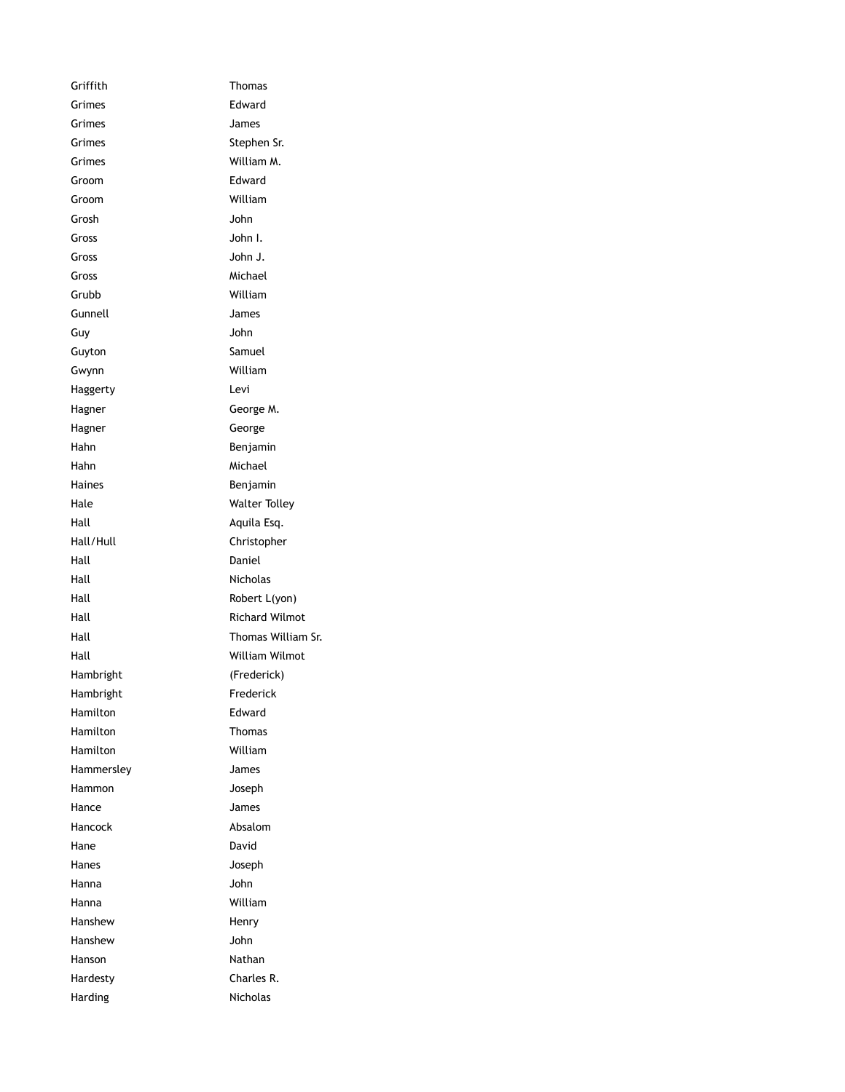Griffith Thomas Grimes **Edward** Grimes James Grimes Stephen Sr. Grimes William M. Groom Edward Groom William Grosh John Gross John I. Gross John J. Gross Michael Grubb William Gunnell James Guy John Guyton Samuel Gwynn William Haggerty Levi Hagner George M. Hagner George Hahn Benjamin Hahn Michael Haines **Benjamin** Hale Walter Tolley Hall Aquila Esq. Hall/Hull Christopher Hall Daniel Hall **Hall** Nicholas Hall Robert L(yon) Hall Richard Wilmot Hall Thomas William Sr. Hall William Wilmot Hambright (Frederick) Hambright Frederick Hamilton **Edward** Hamilton Thomas Hamilton William Hammersley James Hammon Joseph Hance James Hancock Absalom Hane David Hanes Joseph Hanna John Hanna William Hanshew Henry Hanshew John Hanson Nathan Hardesty Charles R. Harding Nicholas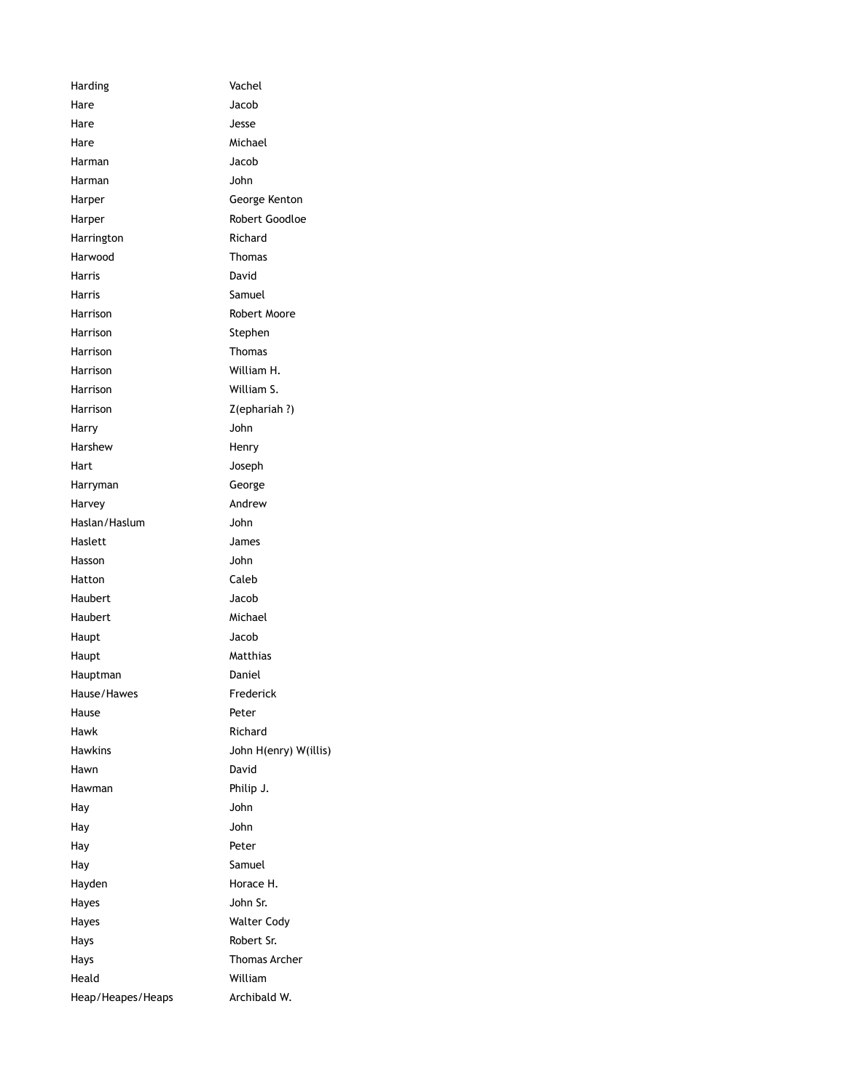Harding Vachel Hare Jacob Hare Jesse Hare Michael Harman Jacob Harman John Harper George Kenton Harper Robert Goodloe Harrington **Richard** Harwood Thomas Harris David Harris **Samuel** Harrison Robert Moore Harrison Stephen Harrison **Thomas** Harrison William H. Harrison William S. Harrison Z(ephariah ?) Harry John Harshew Henry Hart Joseph Harryman George Harvey **Andrew** Haslan/Haslum John Haslett James Hasson John Hatton Caleb Haubert Jacob Haubert Michael Haupt Jacob Haupt Matthias Hauptman Daniel Hause/Hawes Frederick Hause **Peter** Hawk **Richard** Hawkins John H(enry) W(illis) Hawn David Hawman Philip J. Hay John Hay John Hay Peter Hay Samuel Hayden Horace H. Hayes John Sr. Hayes Walter Cody Hays Robert Sr. Hays Thomas Archer Heald William Heap/Heapes/Heaps Archibald W.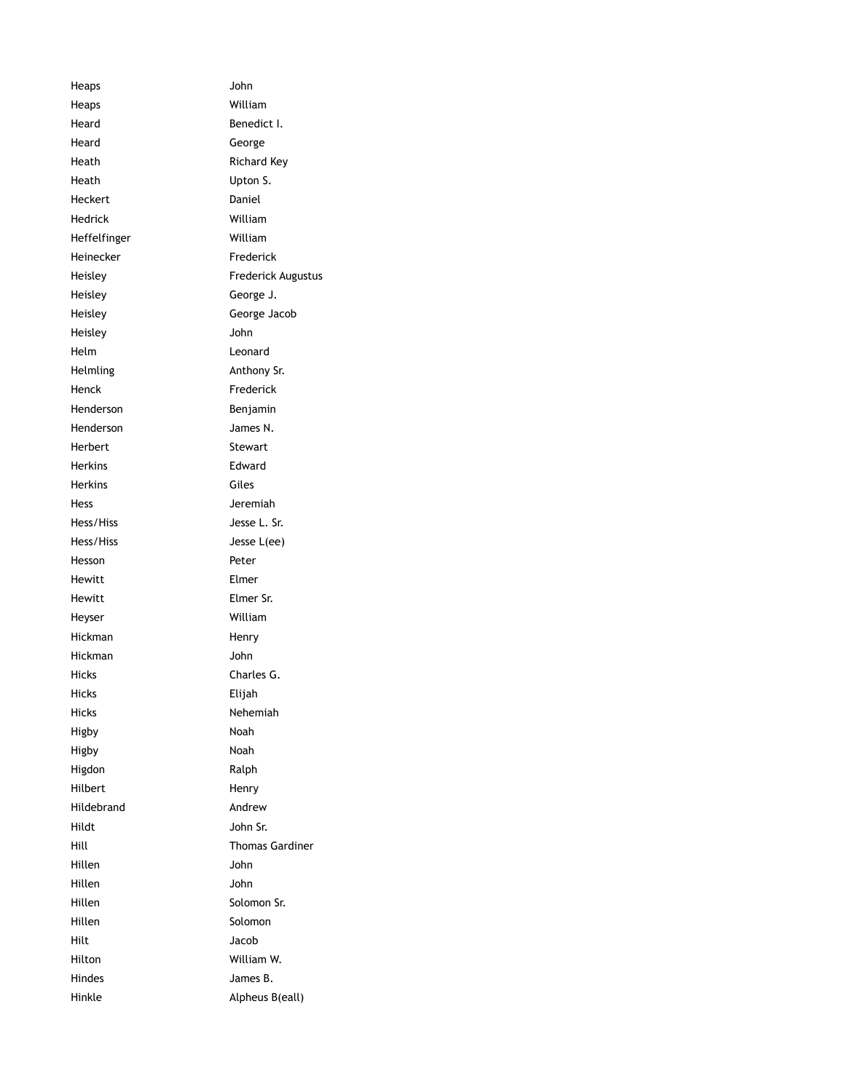Heaps John Heaps William Heard Benedict I. Heard George Heath **Richard Key** Heath Upton S. Heckert Daniel Hedrick William Heffelfinger William Heinecker Frederick Heisley Frederick Augustus Heisley George J. Heisley George Jacob Heisley John Helm Leonard Helmling **Anthony Sr.** Henck Frederick Henderson **Benjamin** Henderson James N. Herbert Stewart Herkins Edward Herkins Giles Hess Jeremiah Hess/Hiss Jesse L. Sr. Hess/Hiss Jesse L(ee) Hesson **Peter** Hewitt Elmer Hewitt **Elmer** Sr. Heyser William Hickman Henry Hickman John Hicks Charles G. Hicks Elijah Hicks Nehemiah Higby Noah Higby Noah Higdon Ralph Hilbert Henry Hildebrand Andrew Hildt John Sr. Hill Thomas Gardiner Hillen John Hillen John Hillen Solomon Sr. Hillen Solomon Hilt Jacob Hilton William W. Hindes James B. Hinkle Alpheus B(eall)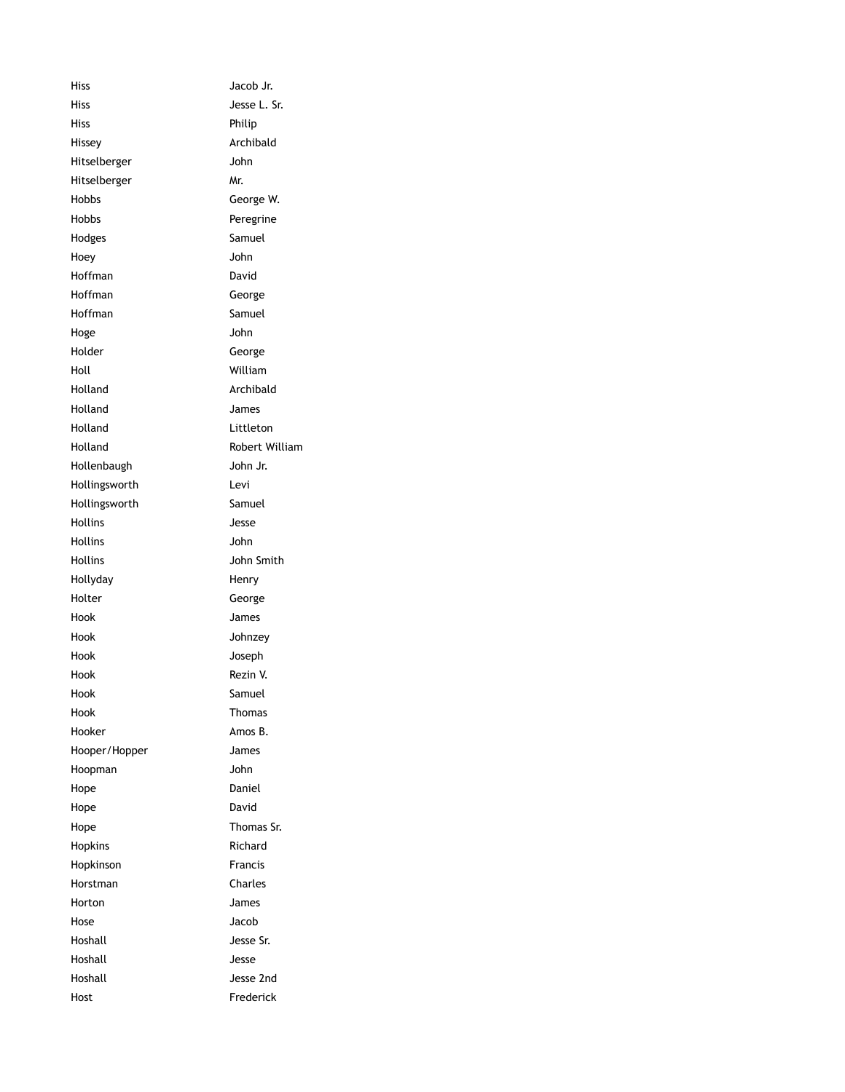Hiss Jacob Jr. Hiss Jesse L. Sr. Hiss Philip Hissey **Archibald** Hitselberger John Hitselberger Mr. Hobbs George W. Hobbs Peregrine Hodges Samuel Hoey John Hoffman David Hoffman George Hoffman Samuel Hoge John Holder George Holl William Holland Archibald Holland James Holland Littleton Holland Robert William Hollenbaugh John Jr. Hollingsworth Levi Hollingsworth Samuel Hollins Jesse Hollins John Hollins John Smith Hollyday **Henry** Holter George Hook James Hook Johnzey Hook Joseph Hook Rezin V. Hook Samuel Hook Thomas Hooker **Amos B.** Hooper/Hopper James Hoopman John Hope Daniel Hope David Hope Thomas Sr. Hopkins Richard Hopkinson **Francis** Horstman Charles Horton James Hose Jacob Hoshall Jesse Sr. Hoshall Jesse Hoshall Jesse 2nd Host **Frederick**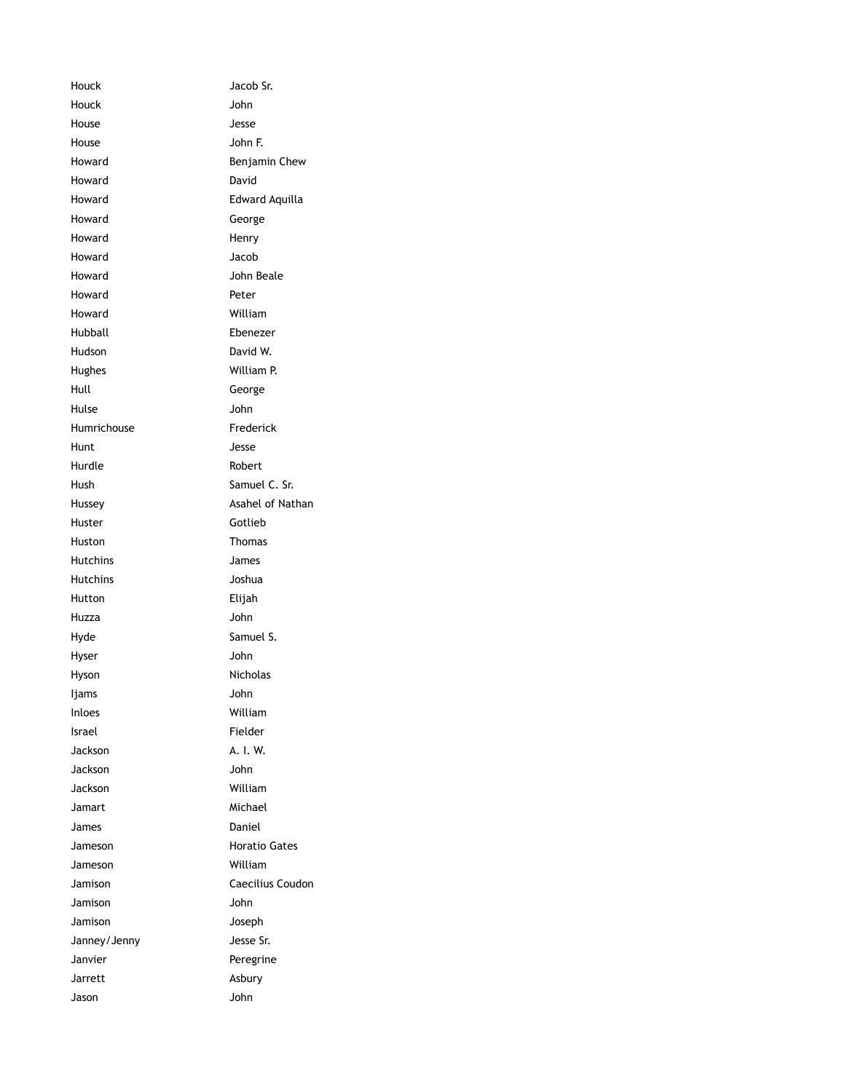Houck Jacob Sr. Houck John House Jesse House John F. Howard **Benjamin Chew** Howard David Howard Edward Aquilla Howard George Howard Henry Howard Jacob Howard **John Beale** Howard Peter Howard William Hubball Ebenezer Hudson David W. Hughes William P. Hull George Hulse John Humrichouse **Frederick** Hunt Jesse Hurdle Robert Hush Samuel C. Sr. Hussey **Asahel of Nathan** Huster **Gotlieb** Huston **Thomas** Hutchins James Hutchins Joshua Hutton Elijah Huzza John Hyde Samuel S. Hyser John Hyson Nicholas Ijams John Inloes William Israel Fielder Jackson A. I. W. Jackson John Jackson William Jamart Michael James Daniel Jameson **Horatio Gates** Jameson William Jamison Caecilius Coudon Jamison John Jamison Joseph Janney/Jenny Jesse Sr. Janvier **Peregrine** Jarrett Asbury Jason John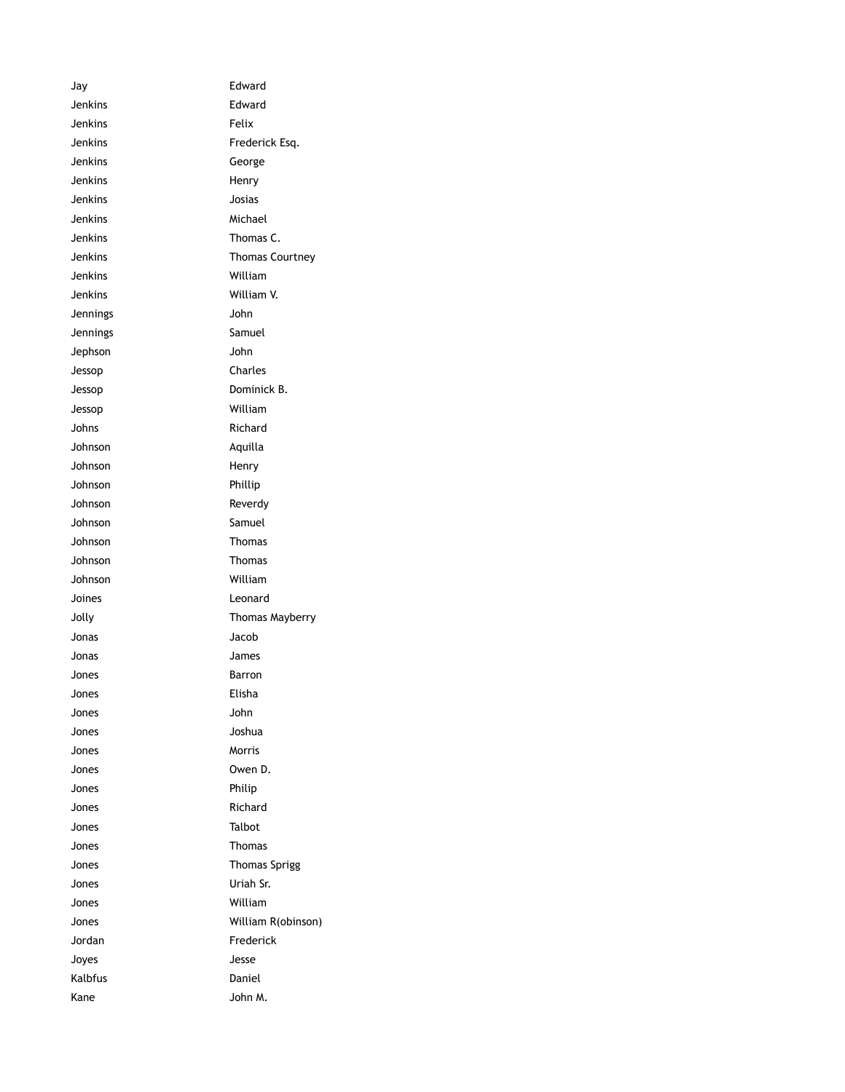Jay Edward Jenkins Edward Jenkins Felix Jenkins Frederick Esq. Jenkins George Jenkins Henry Jenkins Josias Jenkins Michael Jenkins Thomas C. Jenkins Thomas Courtney Jenkins William Jenkins William V. Jennings John Jennings Samuel Jephson John Jessop Charles Jessop Dominick B. Jessop William Johns Richard Johnson Aquilla Johnson Henry Johnson Phillip Johnson Reverdy Johnson Samuel Johnson Thomas Johnson Thomas Johnson William Joines Leonard Jolly Thomas Mayberry Jonas Jacob Jonas James Jones **Barron** Jones Elisha Jones John Jones Joshua Jones Morris Jones Owen D. Jones Philip Jones Richard Jones Talbot Jones Thomas Jones **Thomas Sprigg** Jones Uriah Sr. Jones William Jones William R(obinson) Jordan **Frederick** Joyes Jesse Kalbfus **Daniel** Kane John M.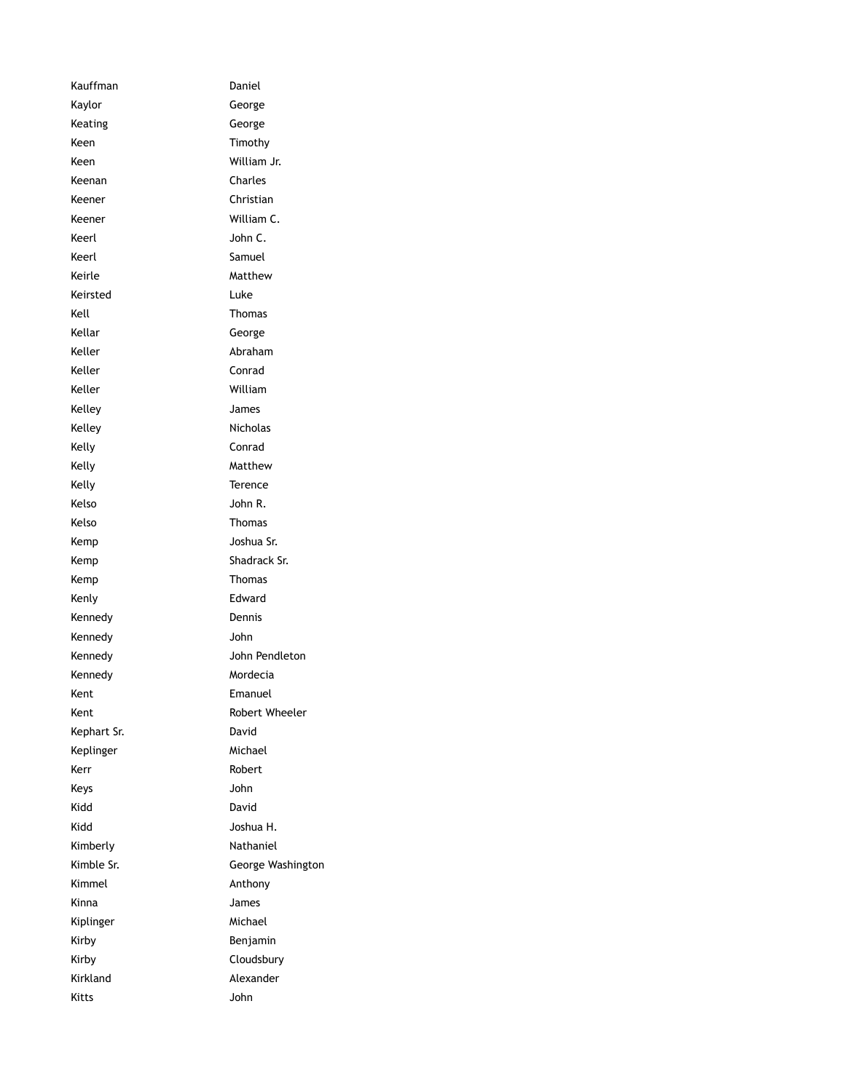Kauffman Daniel Kaylor George Keating George Keen Timothy Keen William Jr. Keenan Charles Keener Christian Keener William C. Keerl John C. Keerl Samuel Keirle Matthew Keirsted Luke Kell **Thomas** Kellar George Keller **Abraham** Keller Conrad Keller William Kelley James Kelley **Nicholas** Kelly **Conrad** Kelly Matthew Kelly **Terence** Kelso John R. Kelso **Thomas** Kemp Joshua Sr. Kemp Shadrack Sr. Kemp Thomas Kenly **Edward** Kennedy Dennis Kennedy John Kennedy John Pendleton Kennedy Mordecia Kent **Emanuel** Kent **Kent** Robert Wheeler Kephart Sr. David Keplinger Michael Kerr **Robert** Keys John Kidd David Kidd Joshua H. Kimberly **Nathaniel** Kimble Sr. **George Washington** Kimmel **Anthony** Kinna James Kiplinger Michael Kirby **Benjamin** Kirby **Cloudsbury** Kirkland Alexander Kitts John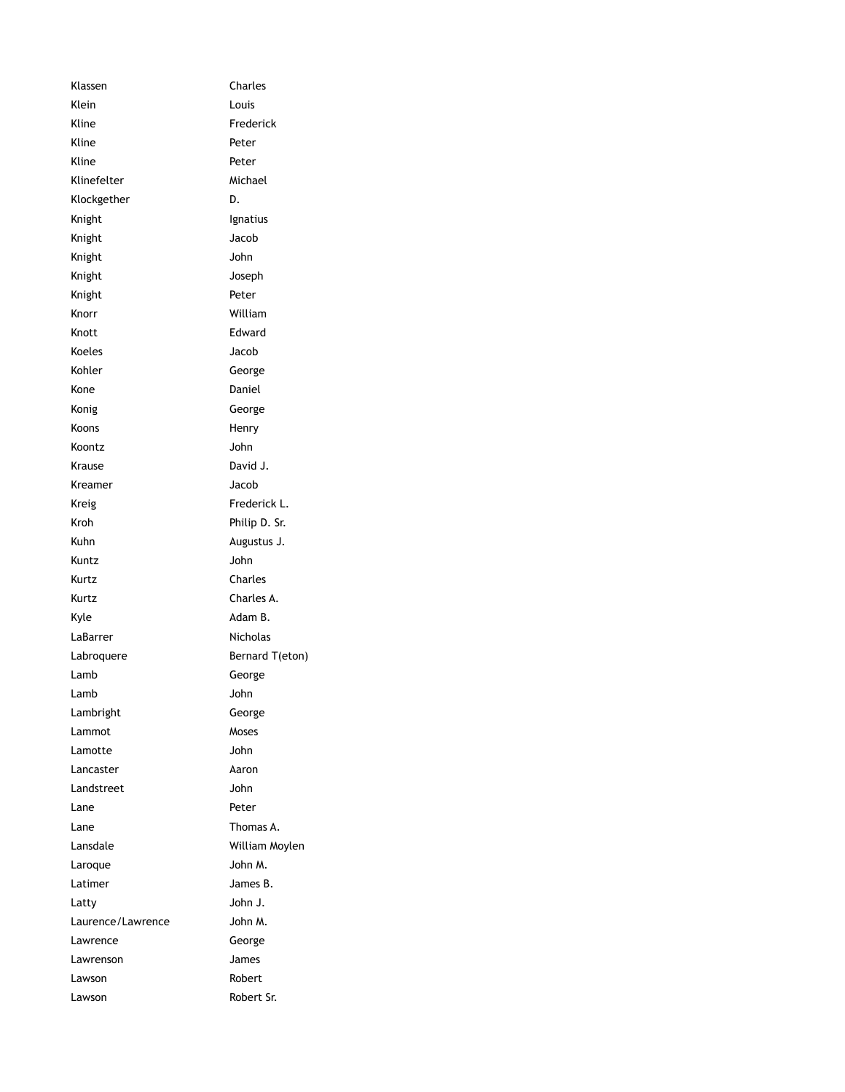| Klassen           | Charles         |
|-------------------|-----------------|
| Klein             | Louis           |
| Kline             | Frederick       |
| Kline             | Peter           |
| Kline             | Peter           |
| Klinefelter       | Michael         |
| Klockgether       | D.              |
| Knight            | Ignatius        |
| Knight            | Jacob           |
| Knight            | John            |
| Knight            | Joseph          |
| Knight            | Peter           |
| Knorr             | William         |
| Knott             | Edward          |
| Koeles            | Jacob           |
| Kohler            | George          |
| Kone              | Daniel          |
| Konig             | George          |
| Koons             | Henry           |
| Koontz            | John            |
| Krause            | David J.        |
| Kreamer           | Jacob           |
| Kreig             | Frederick L.    |
| Kroh              | Philip D. Sr.   |
| Kuhn              | Augustus J.     |
| Kuntz             | John            |
| Kurtz             | Charles         |
| Kurtz             | Charles A.      |
| Kyle              | Adam B.         |
| LaBarrer          | Nicholas        |
| Labroquere        | Bernard T(eton) |
| Lamb              | George          |
| Lamb              | John            |
| Lambright         | George          |
| Lammot            | Moses           |
| Lamotte           | John            |
| Lancaster         | Aaron           |
| Landstreet        | John            |
| Lane              | Peter           |
| Lane              | Thomas A.       |
| Lansdale          | William Moylen  |
| Laroque           | John M.         |
| Latimer           | James B.        |
| Latty             | John J.         |
| Laurence/Lawrence | John M.         |
| Lawrence          | George          |
| Lawrenson         | James           |
| Lawson            | Robert          |
| Lawson            | Robert Sr.      |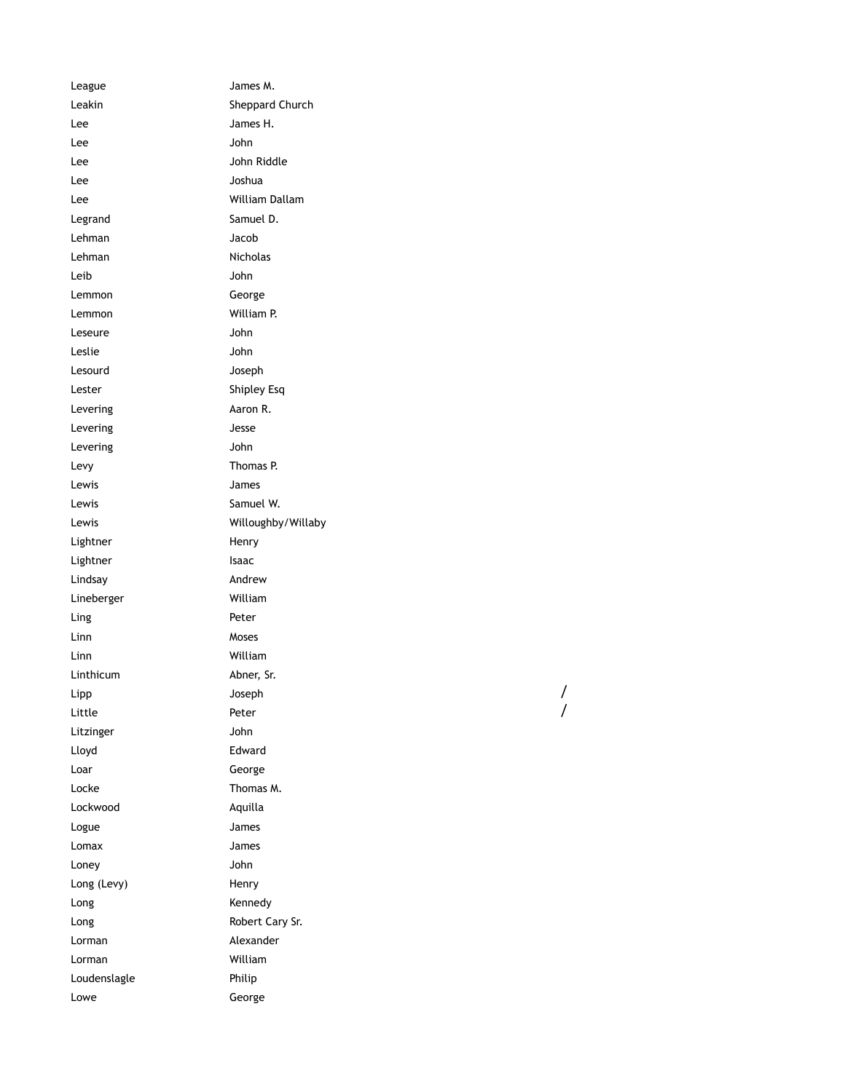League James M. Leakin Sheppard Church Lee James H. Lee John Lee John Riddle Lee Joshua Lee William Dallam Legrand Samuel D. Lehman Jacob Lehman Nicholas Leib John Lemmon George Lemmon William P. Leseure John Leslie John Lesourd Joseph Lester Shipley Esq Levering **Aaron R.** Levering **Jesse** Levering John Levy Thomas P. Lewis James Lewis **Samuel W.** Lewis Willoughby/Willaby Lightner Henry Lightner **Isaac** Lindsay **Andrew** Lineberger William Ling Peter Linn Moses Linn William Linthicum Abner, Sr. Lipp Joseph Little **Peter** Litzinger John Lloyd Edward Loar George Locke **Thomas M.** Lockwood Aquilla Logue James Lomax James Loney John Long (Levy) Flenry Long Kennedy Long Robert Cary Sr. Lorman Alexander Lorman William Loudenslagle Philip Lowe George

/

/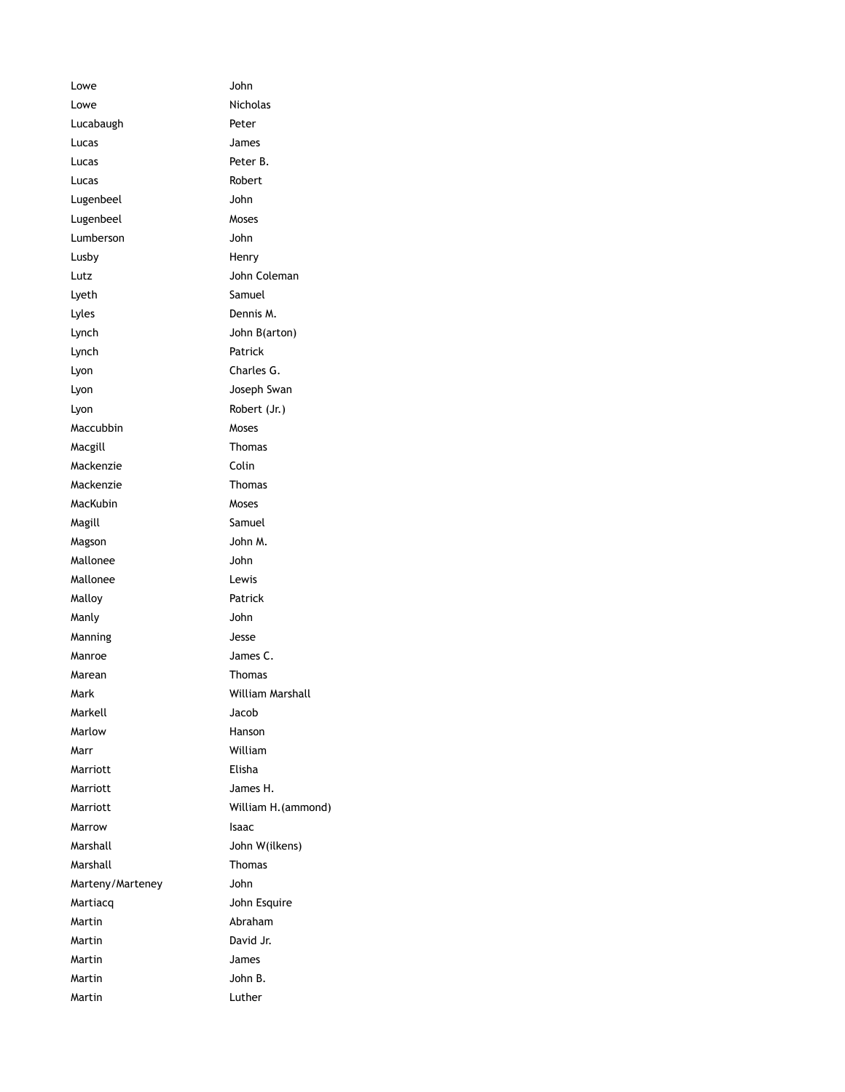Lowe John Lowe Nicholas Lucabaugh **Peter** Lucas James Lucas Peter B. Lucas **Robert** Lugenbeel John Lugenbeel Moses Lumberson John Lusby **Henry** Lutz **John Coleman** Lyeth Samuel Lyles Dennis M. Lynch John B(arton) Lynch Patrick Lyon Charles G. Lyon **Joseph Swan** Lyon Robert (Jr.) Maccubbin Moses Macgill **Macgill** Macgill **Thomas** Mackenzie Colin Mackenzie Thomas MacKubin Moses Magill **Magill** Samuel Magson John M. Mallonee John Mallonee Lewis Malloy **Patrick** Manly John Manning Jesse Manroe James C. Marean **Thomas** Mark William Marshall Markell Jacob Marlow Hanson Marr William Marriott Elisha Marriott James H. Marriott William H.(ammond) Marrow **Isaac** Marshall John W(ilkens) Marshall Thomas Marteny/Marteney John Martiacq John Esquire Martin Abraham Martin David Jr. Martin James Martin John B. Martin Luther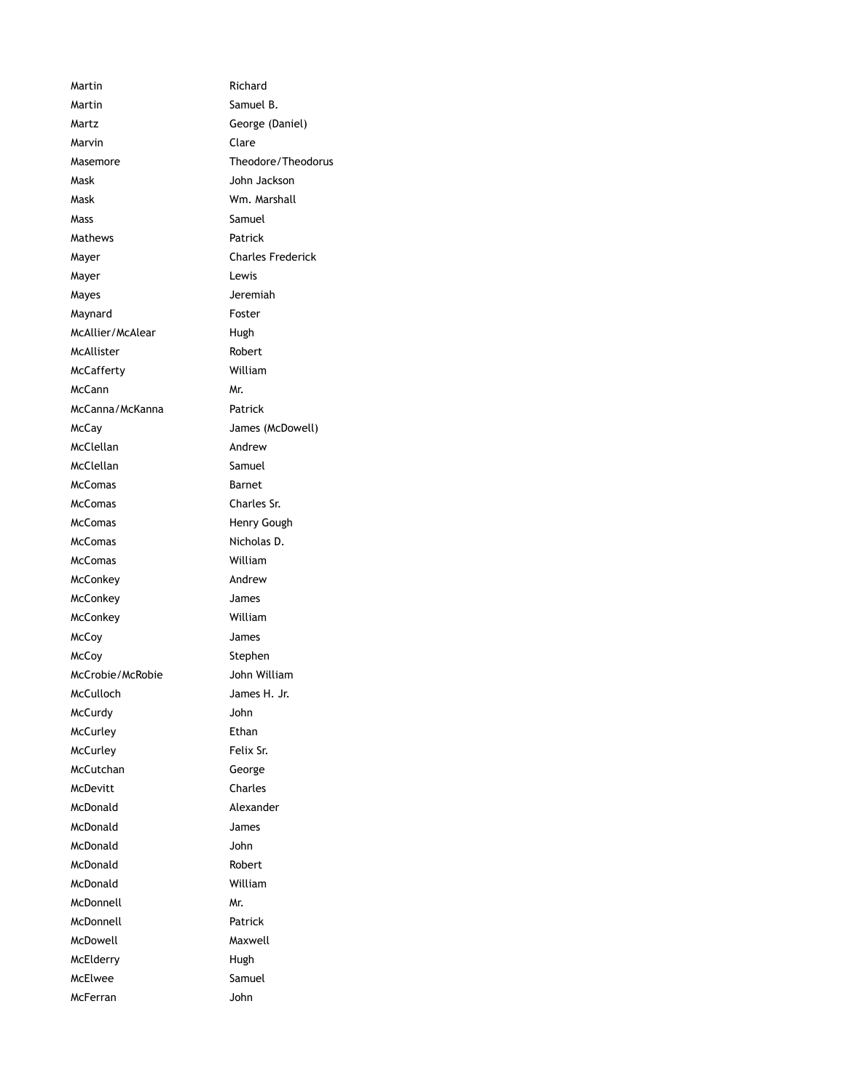Martin **Martin** Richard Martin Samuel B. Martz **George** (Daniel) Marvin Clare Masemore Theodore/Theodorus Mask John Jackson Mask Wm. Marshall Mass Samuel Mathews **Patrick** Mayer **Charles Frederick** Mayer **Lewis** Mayes Jeremiah Maynard **Foster** McAllier/McAlear Hugh McAllister Robert McCafferty William McCann Mr. McCanna/McKanna Patrick McCay James (McDowell) McClellan Andrew McClellan Samuel McComas Barnet McComas Charles Sr. McComas Henry Gough McComas Nicholas D. McComas William McConkey **Andrew** McConkey James McConkey William McCoy James McCoy Stephen McCrobie/McRobie John William McCulloch James H. Jr. McCurdy John McCurley **Ethan** McCurley Felix Sr. McCutchan George McDevitt Charles McDonald Alexander McDonald James McDonald John McDonald Robert McDonald William McDonnell Mr. McDonnell Patrick McDowell Maxwell McElderry Hugh McElwee Samuel McFerran John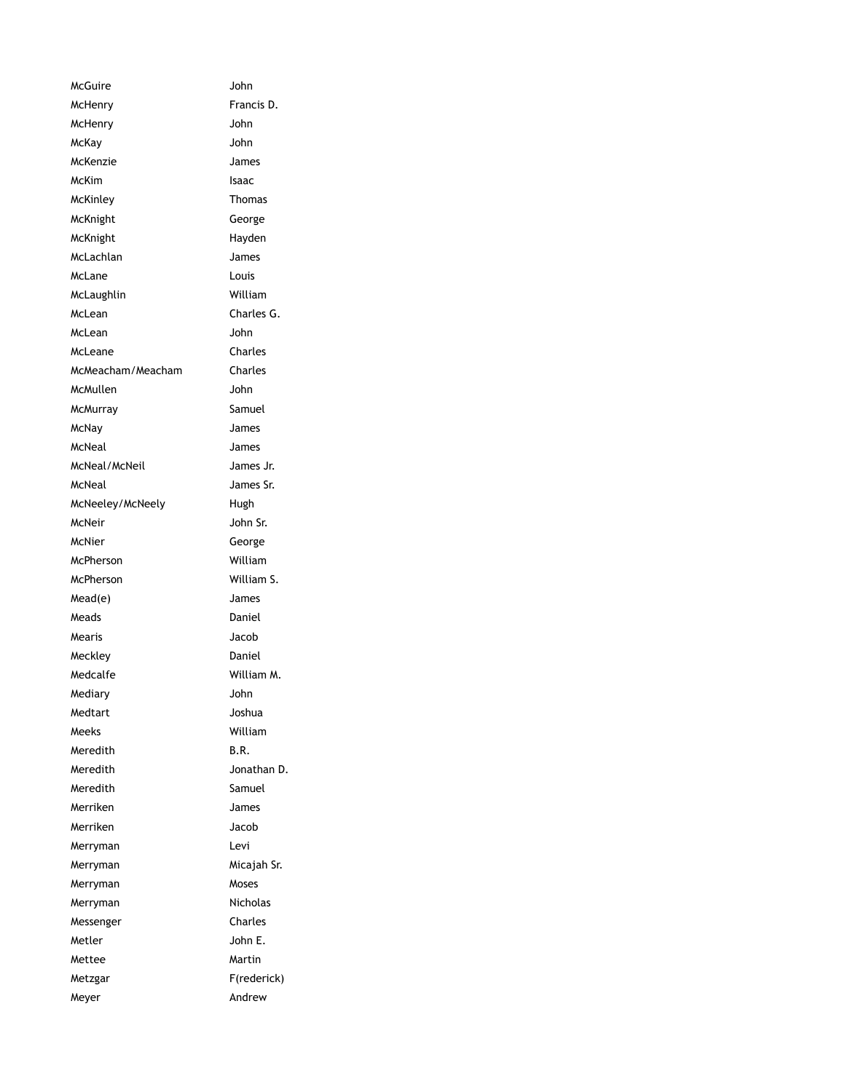| McGuire           | John        |
|-------------------|-------------|
| McHenry           | Francis D.  |
| McHenry           | John        |
| McKay             | John        |
| McKenzie          | James       |
| McKim             | Isaac       |
| McKinley          | Thomas      |
| McKnight          | George      |
| McKnight          | Hayden      |
| McLachlan         | James       |
| McLane            | Louis       |
| McLaughlin        | William     |
| McLean            | Charles G.  |
| McLean            | John        |
| McLeane           | Charles     |
| McMeacham/Meacham | Charles     |
| McMullen          | John        |
| <b>McMurray</b>   | Samuel      |
| McNay             | James       |
| McNeal            | James       |
| McNeal/McNeil     | James Jr.   |
| McNeal            | James Sr.   |
| McNeeley/McNeely  | Hugh        |
| McNeir            | John Sr.    |
| McNier            | George      |
| McPherson         | William     |
| McPherson         | William S.  |
| Mead(e)           | James       |
| Meads             | Daniel      |
| Mearis            | Jacob       |
| Meckley           | Daniel      |
| Medcalfe          | William M.  |
| Mediary           | John        |
| Medtart           | Joshua      |
| Meeks             | William     |
| Meredith          | B.R.        |
| Meredith          | Jonathan D. |
| Meredith          | Samuel      |
| Merriken          | James       |
| Merriken          | Jacob       |
| Merryman          | Levi        |
| Merryman          | Micajah Sr. |
| Merryman          | Moses       |
| Merryman          | Nicholas    |
| Messenger         | Charles     |
| Metler            | John E.     |
| Mettee            | Martin      |
| Metzgar           | F(rederick) |
| Meyer             | Andrew      |
|                   |             |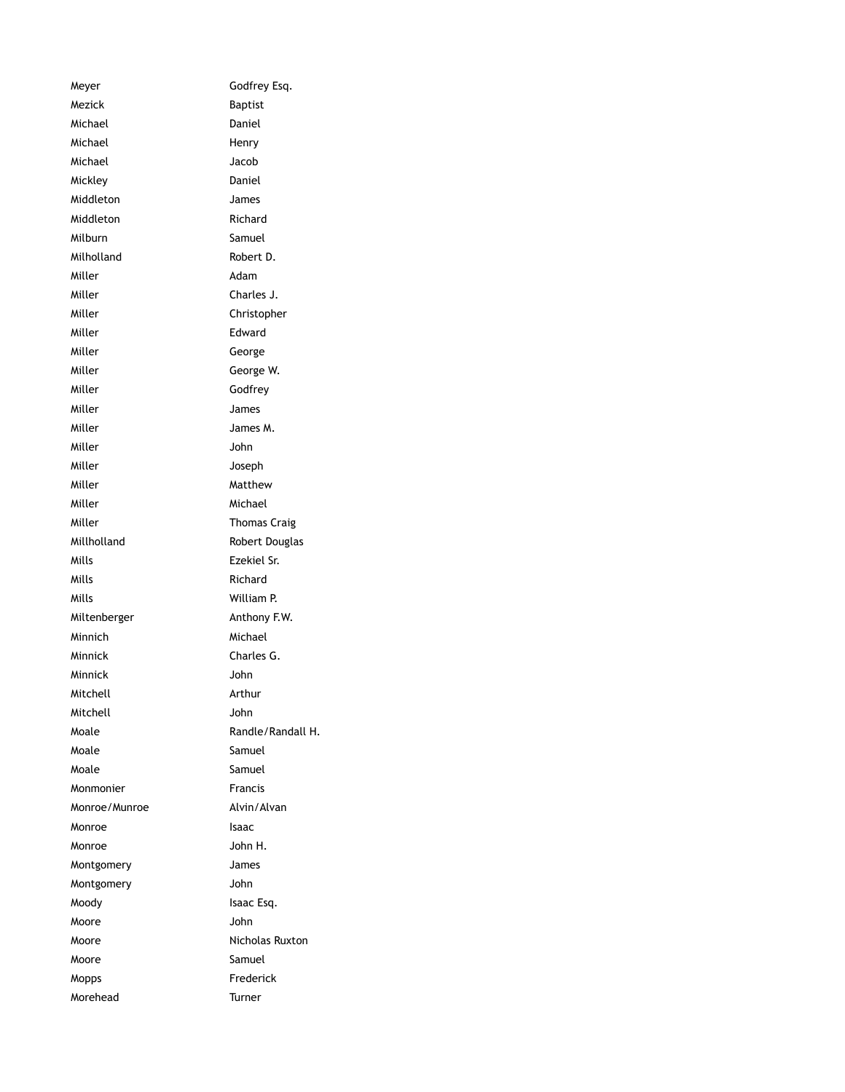Meyer Godfrey Esq. Mezick Baptist Michael **Daniel** Michael Henry Michael Jacob Mickley Daniel Middleton James Middleton Richard Milburn Samuel Milholland Robert D. Miller **Adam** Miller Charles J. Miller Christopher Miller **Edward** Miller George Miller George W. Miller Godfrey Miller **James** Miller James M. Miller John Miller **Miller** Joseph Miller Matthew Miller Michael Miller **Thomas Craig** Millholland Robert Douglas Mills Ezekiel Sr. Mills **Mills** Richard Mills William P. Miltenberger **Anthony F.W.** Minnich Michael Minnick Charles G. Minnick John Mitchell **Arthur** Mitchell John Moale Randle/Randall H. Moale Samuel Moale Samuel Monmonier Francis Monroe/Munroe Alvin/Alvan Monroe Isaac Monroe John H. Montgomery James Montgomery John Moody **Isaac Esq.** Moore John Moore Micholas Ruxton Moore Samuel Mopps Frederick Morehead Turner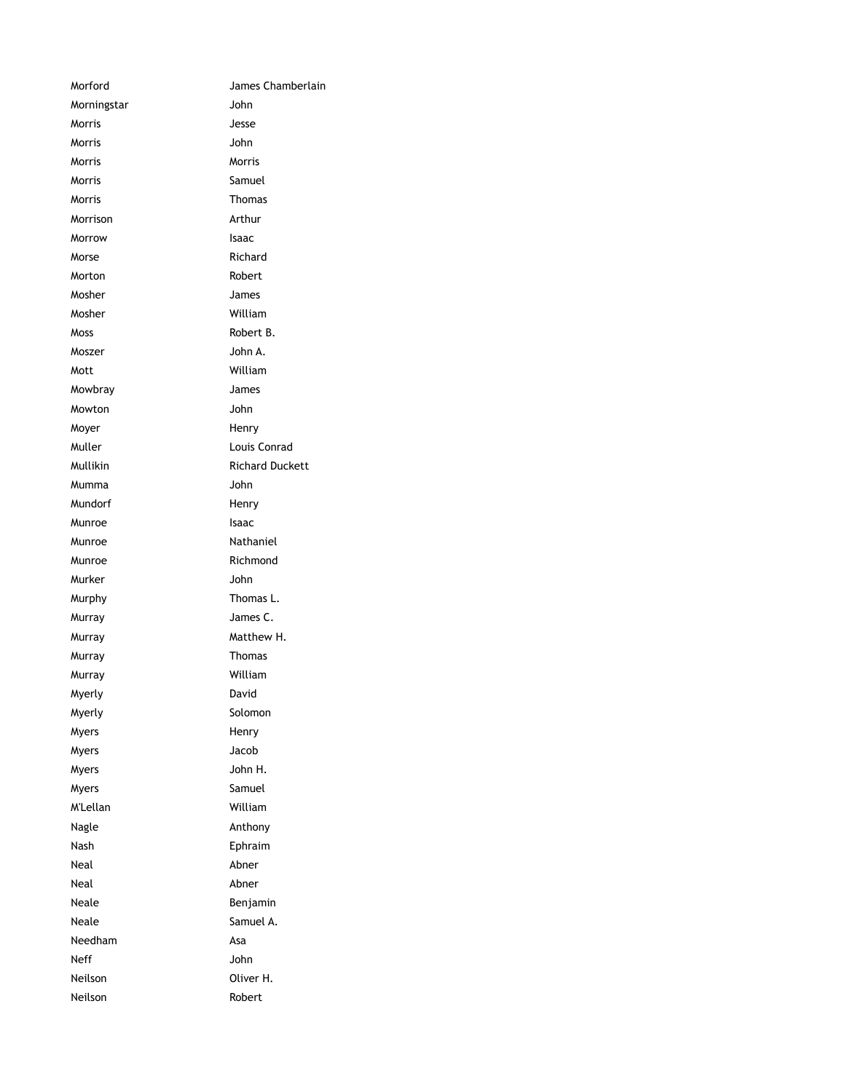| Morford     | James Chamberlain      |
|-------------|------------------------|
| Morningstar | John                   |
| Morris      | Jesse                  |
| Morris      | John                   |
| Morris      | Morris                 |
| Morris      | Samuel                 |
| Morris      | Thomas                 |
| Morrison    | Arthur                 |
| Morrow      | Isaac                  |
| Morse       | Richard                |
| Morton      | Robert                 |
| Mosher      | James                  |
| Mosher      | William                |
| Moss        | Robert B.              |
| Moszer      | John A.                |
| Mott        | William                |
| Mowbray     | James                  |
| Mowton      | John                   |
| Moyer       | Henry                  |
| Muller      | Louis Conrad           |
| Mullikin    | <b>Richard Duckett</b> |
| Mumma       | John                   |
| Mundorf     | Henry                  |
| Munroe      | Isaac                  |
| Munroe      | Nathaniel              |
| Munroe      | Richmond               |
| Murker      | John                   |
| Murphy      | Thomas L.              |
| Murray      | James C.               |
| Murray      | Matthew H.             |
| Murray      | Thomas                 |
| Murray      | William                |
| Myerly      | David                  |
| Myerly      | Solomon                |
| Myers       | Henry                  |
| Myers       | Jacob                  |
| Myers       | John H.                |
| Myers       | Samuel                 |
| M'Lellan    | William                |
| Nagle       | Anthony                |
| Nash        | Ephraim                |
| Neal        | Abner                  |
| Neal        | Abner                  |
| Neale       | Benjamin               |
| Neale       | Samuel A.              |
| Needham     | Asa                    |
| Neff        | John                   |
| Neilson     | Oliver H.              |
| Neilson     | Robert                 |
|             |                        |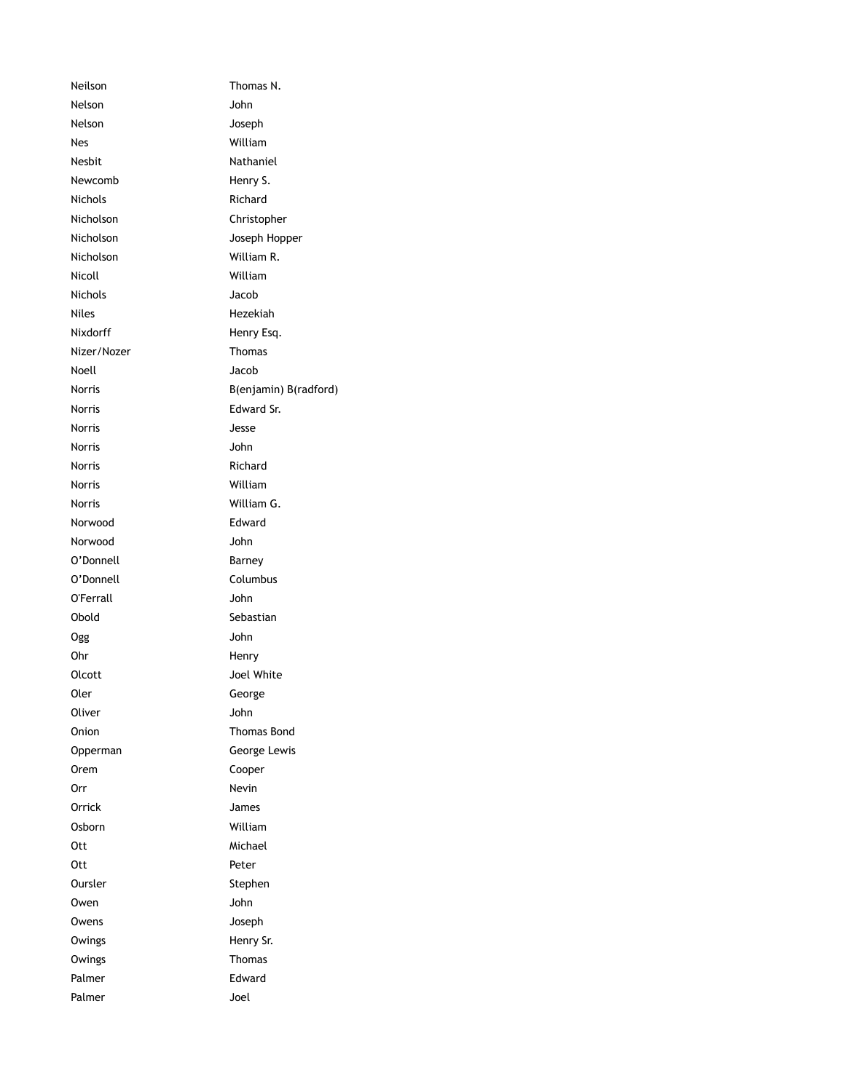Neilson Thomas N. Nelson John Nelson Joseph Nes William Nesbit Nathaniel Newcomb Henry S. Nichols **Richard** Nicholson Christopher Nicholson Joseph Hopper Nicholson William R. Nicoll William Nichols Jacob Niles Hezekiah Nixdorff Henry Esq. Nizer/Nozer Thomas Noell Jacob Norris B(enjamin) B(radford) Norris Edward Sr. Norris Jesse Norris John Norris Richard Norris William Norris William G. Norwood Edward Norwood John O'Donnell Barney O'Donnell Columbus O'Ferrall John Obold Sebastian Ogg John Ohr Henry Olcott Joel White Oler George Oliver John Onion Thomas Bond Opperman George Lewis Orem Cooper Orr Nevin Orrick James Osborn William Ott Michael Ott Peter Oursler Stephen Owen John Owens **Joseph** Owings Henry Sr. Owings **Thomas** Palmer **Edward** Palmer Joel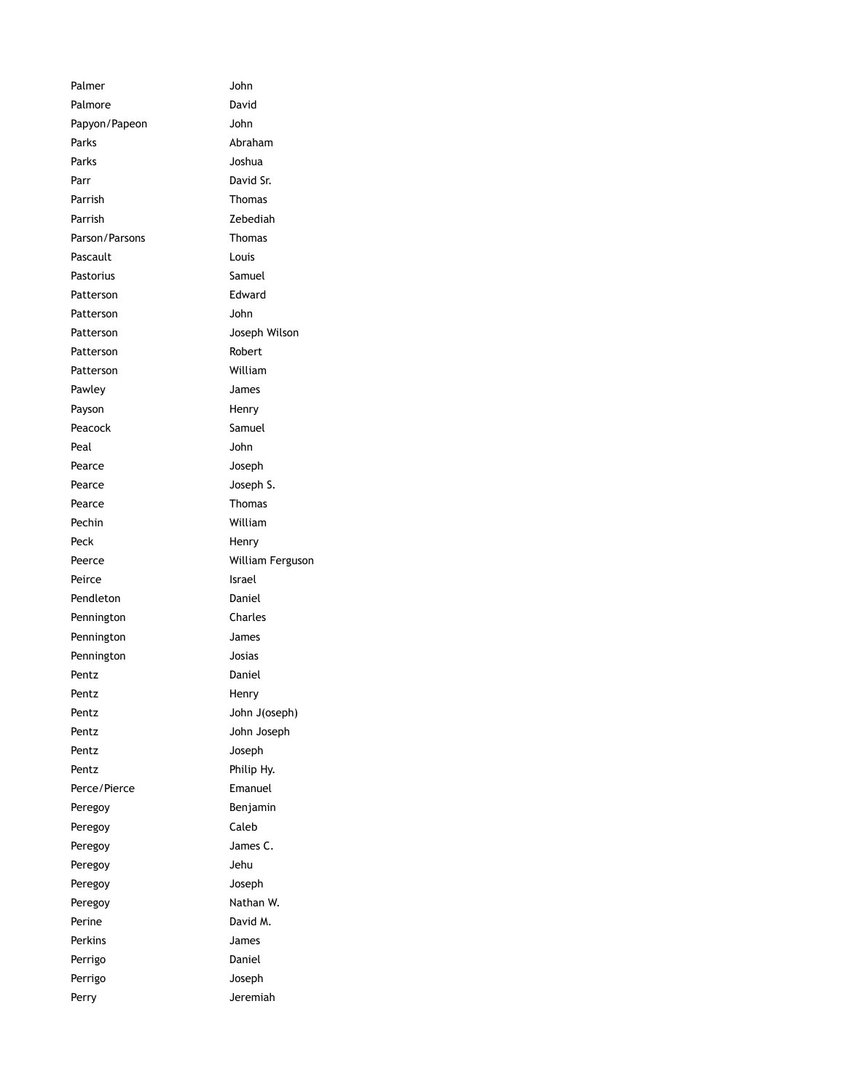Palmer John Palmore David Papyon/Papeon John Parks **Abraham** Parks **Joshua** Parr David Sr. Parrish Thomas Parrish Zebediah Parson/Parsons Thomas Pascault **Louis** Pastorius Samuel Patterson **Edward** Patterson John Patterson Joseph Wilson Patterson Robert Patterson William Pawley **James** Payson **Henry** Peacock Samuel Peal John Pearce Joseph Pearce Joseph S. Pearce Thomas Pechin William Peck Henry Peerce **William Ferguson** Peirce Israel Pendleton Daniel Pennington Charles Pennington James Pennington Josias Pentz Daniel Pentz Henry Pentz John J(oseph) Pentz **John Joseph** Pentz **Joseph** Pentz Philip Hy. Perce/Pierce Emanuel Peregoy **Benjamin** Peregoy Caleb Peregoy **James C.** Peregoy Jehu Peregoy **South Disk Replace Service Service Service Service Service Service Service Service Service Service Se** Peregoy **Nathan W.** Perine David M. Perkins James Perrigo Daniel Perrigo Joseph Perry **Defeating Perry Accompany** Jeremiah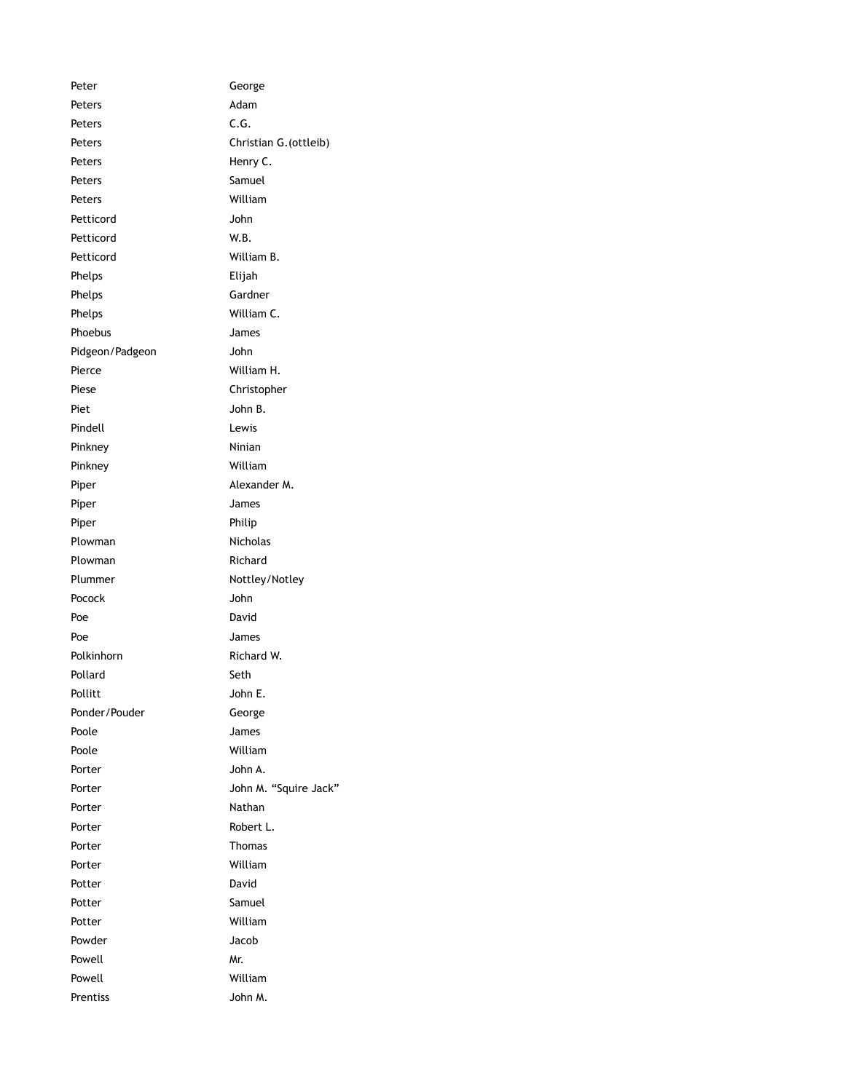| Peter           | George                 |
|-----------------|------------------------|
| Peters          | Adam                   |
| Peters          | C.G.                   |
| Peters          | Christian G. (ottleib) |
| Peters          | Henry C.               |
| Peters          | Samuel                 |
| Peters          | William                |
| Petticord       | John                   |
| Petticord       | W.B.                   |
| Petticord       | William B.             |
| Phelps          | Elijah                 |
| Phelps          | Gardner                |
| Phelps          | William C.             |
| Phoebus         | James                  |
| Pidgeon/Padgeon | John                   |
| Pierce          | William H.             |
| Piese           | Christopher            |
| Piet            | John B.                |
| Pindell         | Lewis                  |
| Pinkney         | Ninian                 |
| Pinkney         | William                |
| Piper           | Alexander M.           |
| Piper           | James                  |
| Piper           | Philip                 |
| Plowman         | Nicholas               |
| Plowman         | Richard                |
| Plummer         | Nottley/Notley         |
| Pocock          | John                   |
| Poe             | David                  |
| Poe             | James                  |
| Polkinhorn      | Richard W.             |
| Pollard         | Seth                   |
| Pollitt         | John E.                |
| Ponder/Pouder   | George                 |
| Poole           | James                  |
| Poole           | William                |
| Porter          | John A.                |
| Porter          | John M. "Squire Jack"  |
| Porter          | Nathan                 |
| Porter          | Robert L.              |
| Porter          | Thomas                 |
| Porter          | William                |
| Potter          | David                  |
| Potter          | Samuel                 |
| Potter          | William                |
| Powder          | Jacob                  |
| Powell          | Mr.                    |
| Powell          | William                |
| Prentiss        | John M.                |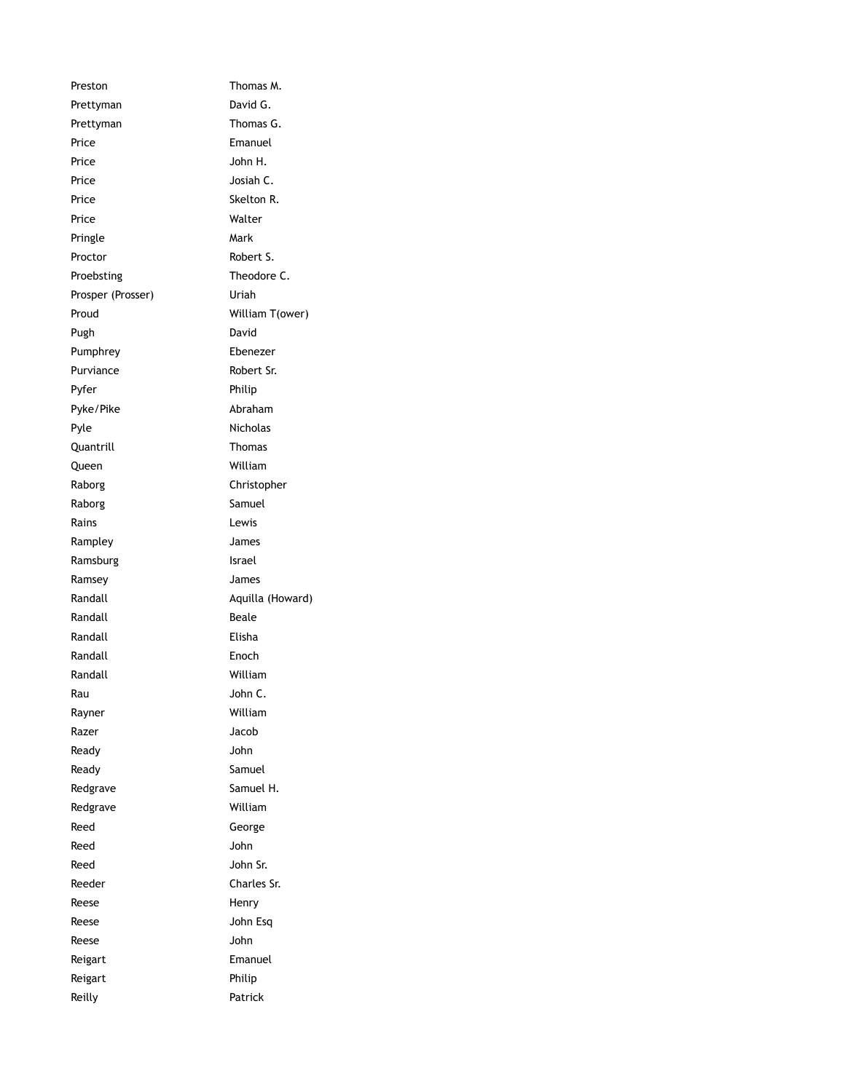Preston Thomas M. Prettyman David G. Prettyman Thomas G. Price Emanuel Price John H. Price Josiah C. Price Skelton R. Price Walter Pringle Mark Proctor Robert S. Proebsting Theodore C. Prosper (Prosser) Uriah Proud William T(ower) Pugh David Pumphrey Ebenezer Purviance Robert Sr. Pyfer Philip Pyke/Pike Abraham Pyle Nicholas Quantrill Thomas Queen William Raborg **Christopher** Raborg **Samuel** Rains Lewis Rampley James Ramsburg **Israel** Ramsey James Randall **Aquilla (Howard)** Randall **Beale** Randall Elisha Randall Enoch Randall William Rau John C. Rayner William Razer **Jacob** Ready John Ready **Samuel** Redgrave Samuel H. Redgrave William Reed George Reed John Reed John Sr. Reeder Charles Sr. Reese Henry Reese John Esq Reese John Reigart **Emanuel** Reigart Philip Reilly **Patrick**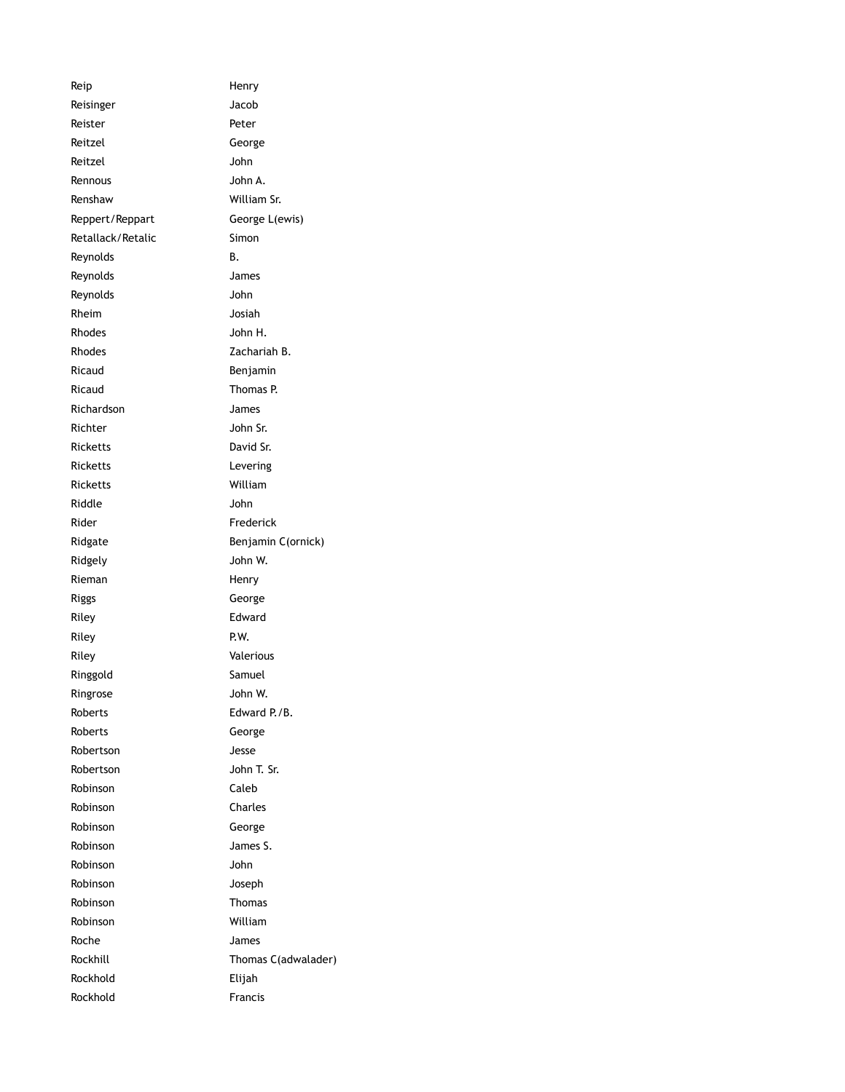| Reip              | Henry               |
|-------------------|---------------------|
| Reisinger         | Jacob               |
| Reister           | Peter               |
| Reitzel           | George              |
| Reitzel           | John                |
| Rennous           | John A.             |
| Renshaw           | William Sr.         |
| Reppert/Reppart   | George L(ewis)      |
| Retallack/Retalic | Simon               |
| Reynolds          | В.                  |
| Reynolds          | James               |
| Reynolds          | John                |
| Rheim             | Josiah              |
| Rhodes            | John H.             |
| Rhodes            | Zachariah B.        |
| Ricaud            | Benjamin            |
| Ricaud            | Thomas P.           |
| Richardson        | James               |
| Richter           | John Sr.            |
| Ricketts          | David Sr.           |
| Ricketts          | Levering            |
| Ricketts          | William             |
| Riddle            | John                |
| Rider             | Frederick           |
| Ridgate           | Benjamin C(ornick)  |
| Ridgely           | John W.             |
| Rieman            | Henry               |
| Riggs             | George              |
| Riley             | Edward              |
| Riley             | P.W.                |
| Riley             | Valerious           |
| Ringgold          | Samuel              |
| Ringrose          | John W.             |
| Roberts           | Edward P./B.        |
| Roberts           | George              |
| Robertson         | Jesse               |
| Robertson         | John T. Sr.         |
| Robinson          | Caleb               |
| Robinson          | Charles             |
| Robinson          | George              |
| Robinson          | James S.            |
| Robinson          | John                |
| Robinson          | Joseph              |
| Robinson          | Thomas              |
| Robinson          | William             |
| Roche             | James               |
| Rockhill          | Thomas C(adwalader) |
| Rockhold          | Elijah              |
| Rockhold          | <b>Francis</b>      |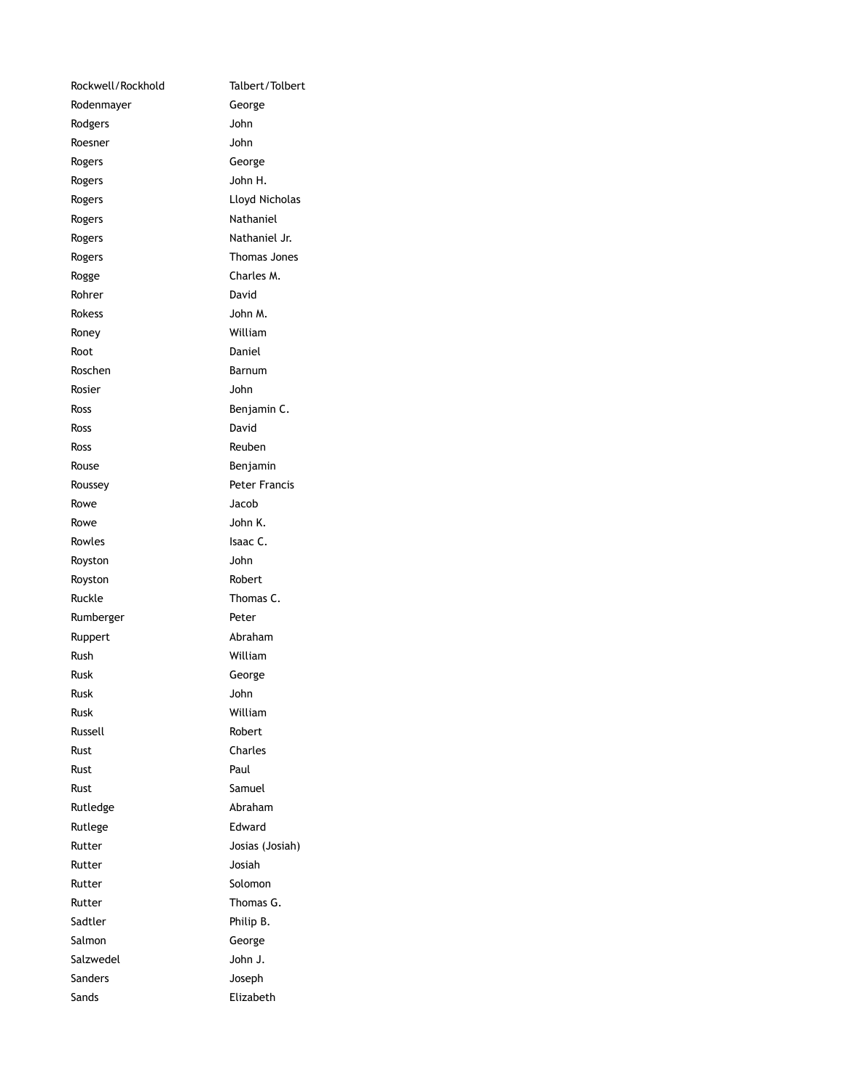| Rockwell/Rockhold | Talbert/Tolbert      |
|-------------------|----------------------|
| Rodenmayer        | George               |
| Rodgers           | John                 |
| Roesner           | John                 |
| Rogers            | George               |
| Rogers            | John H.              |
| Rogers            | Lloyd Nicholas       |
| Rogers            | Nathaniel            |
| Rogers            | Nathaniel Jr.        |
| Rogers            | Thomas Jones         |
| Rogge             | Charles M.           |
| Rohrer            | David                |
| <b>Rokess</b>     | John M.              |
| Roney             | William              |
| Root              | Daniel               |
| Roschen           | Barnum               |
| Rosier            | John                 |
| Ross              | Benjamin C.          |
| Ross              | David                |
| Ross              | Reuben               |
| Rouse             | Benjamin             |
| Roussey           | <b>Peter Francis</b> |
| Rowe              | Jacob                |
| Rowe              | John K.              |
| Rowles            | Isaac C.             |
| Royston           | John                 |
| Royston           | Robert               |
| Ruckle            | Thomas C.            |
| Rumberger         | Peter                |
| Ruppert           | Abraham              |
| Rush              | William              |
| Rusk              | George               |
| Rusk              | John                 |
| Rusk              | William              |
| Russell           | Robert               |
| Rust              | Charles              |
| Rust              | Paul                 |
| Rust              | Samuel               |
| Rutledge          | Abraham              |
| Rutlege           | Edward               |
| Rutter            | Josias (Josiah)      |
| Rutter            | Josiah               |
| Rutter            | Solomon              |
| Rutter            | Thomas G.            |
| Sadtler           | Philip B.            |
| Salmon            | George               |
| Salzwedel         | John J.              |
| Sanders           | Joseph               |
| Sands             | Elizabeth            |
|                   |                      |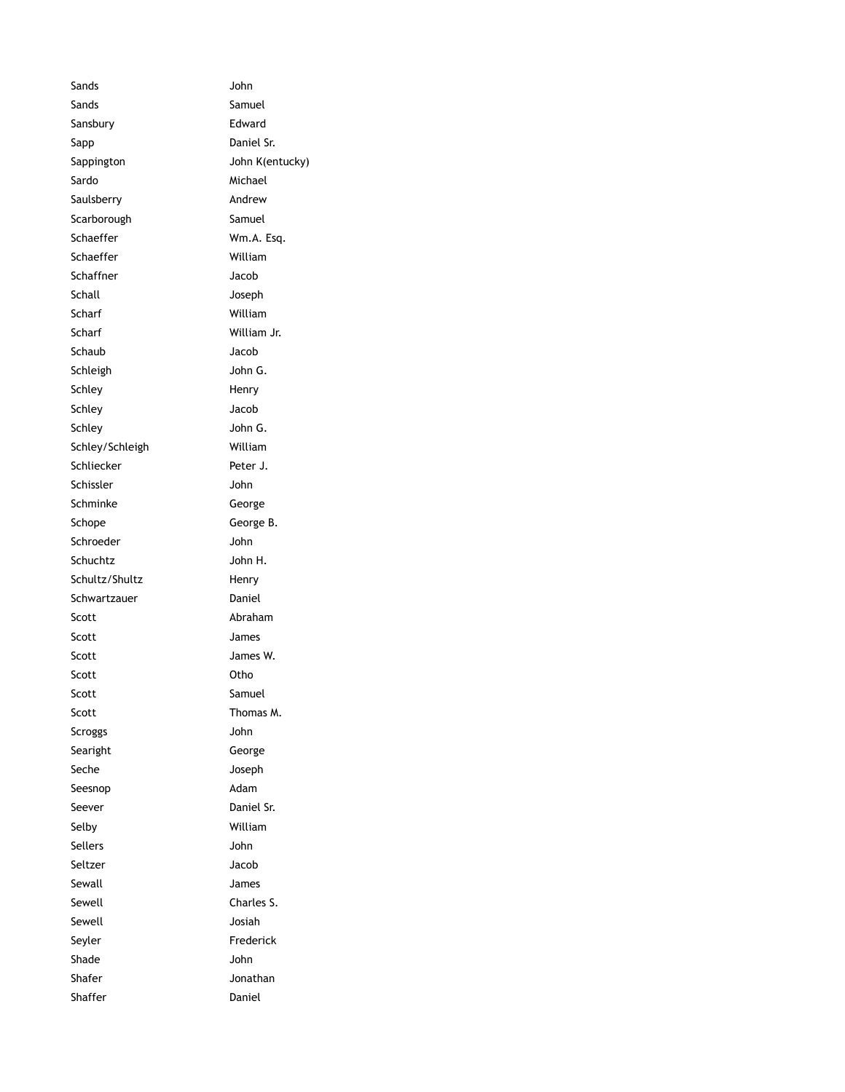Sands John Sands Samuel Sansbury Edward Sapp Daniel Sr. Sappington John K(entucky) Sardo Michael Saulsberry **Andrew** Scarborough Samuel Schaeffer Wm.A. Esq. Schaeffer William Schaffner Jacob Schall Joseph Scharf William Scharf William Jr. Schaub Jacob Schleigh John G. Schley Henry Schley Jacob Schley John G. Schley/Schleigh William Schliecker Peter J. Schissler John Schminke George Schope George B. Schroeder John Schuchtz John H. Schultz/Shultz Henry Schwartzauer **Daniel** Scott Abraham Scott James Scott James W. Scott **Otho** Scott Samuel Scott Thomas M. Scroggs John Searight George Seche Joseph Seesnop Adam Seever Daniel Sr. Selby William Sellers John Seltzer Jacob Sewall James Sewell **Charles S.** Sewell **Sewell** Josiah Seyler **Frederick** Shade John Shafer **Jonathan** Shaffer Daniel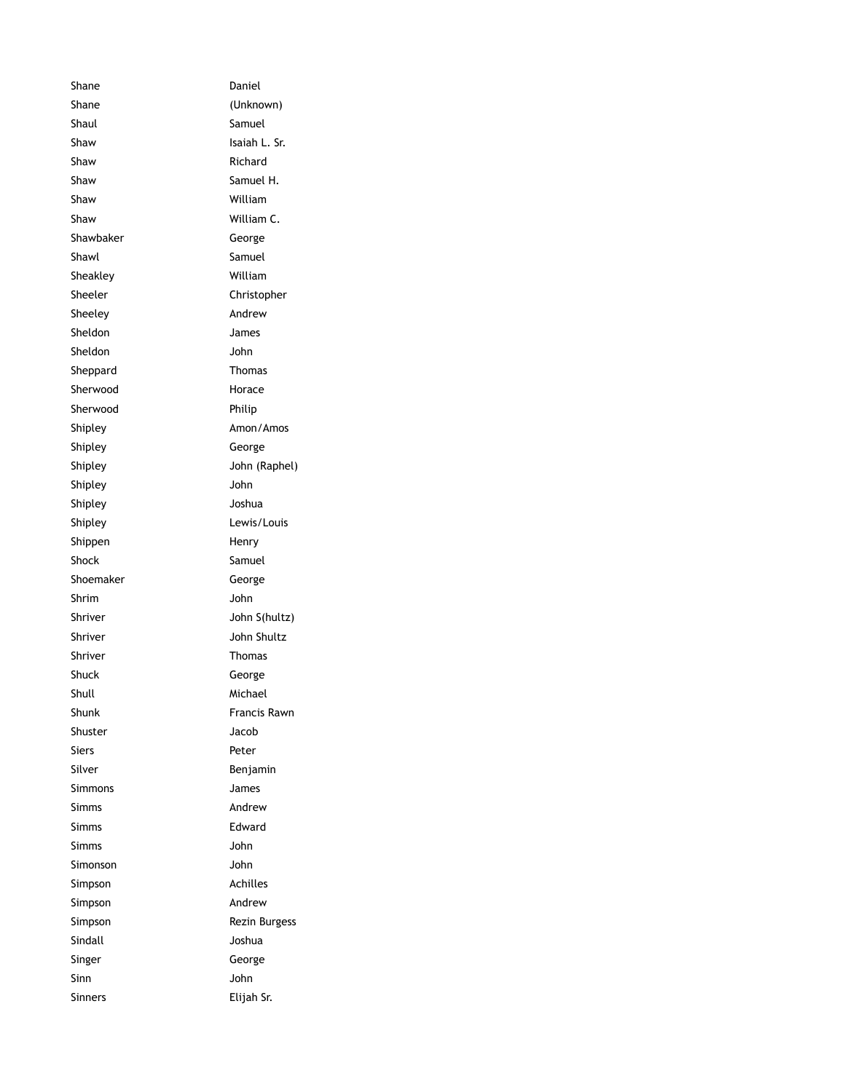Shane Daniel Shane (Unknown) Shaul Shaul Samuel Shaw Isaiah L. Sr. Shaw Richard Shaw Samuel H. Shaw William Shaw William C. Shawbaker George Shawl Shawl Samuel Sheakley William Sheeler Christopher Sheeley **Andrew** Sheldon James Sheldon John Sheppard Thomas Sherwood Horace Sherwood Philip Shipley **Amon/Amos** Shipley **George** Shipley John (Raphel) Shipley John Shipley Joshua Shipley **Lewis/Louis** Shippen Henry Shock Samuel Shoemaker George Shrim John Shriver John S(hultz) Shriver **John Shultz** Shriver Thomas Shuck George Shull Michael Shunk Francis Rawn Shuster Jacob Siers Peter Silver **Benjamin** Simmons James Simms Andrew Simms Edward Simms John Simonson John Simpson Achilles Simpson Andrew Simpson Rezin Burgess Sindall Joshua Singer George Sinn John Sinners Elijah Sr.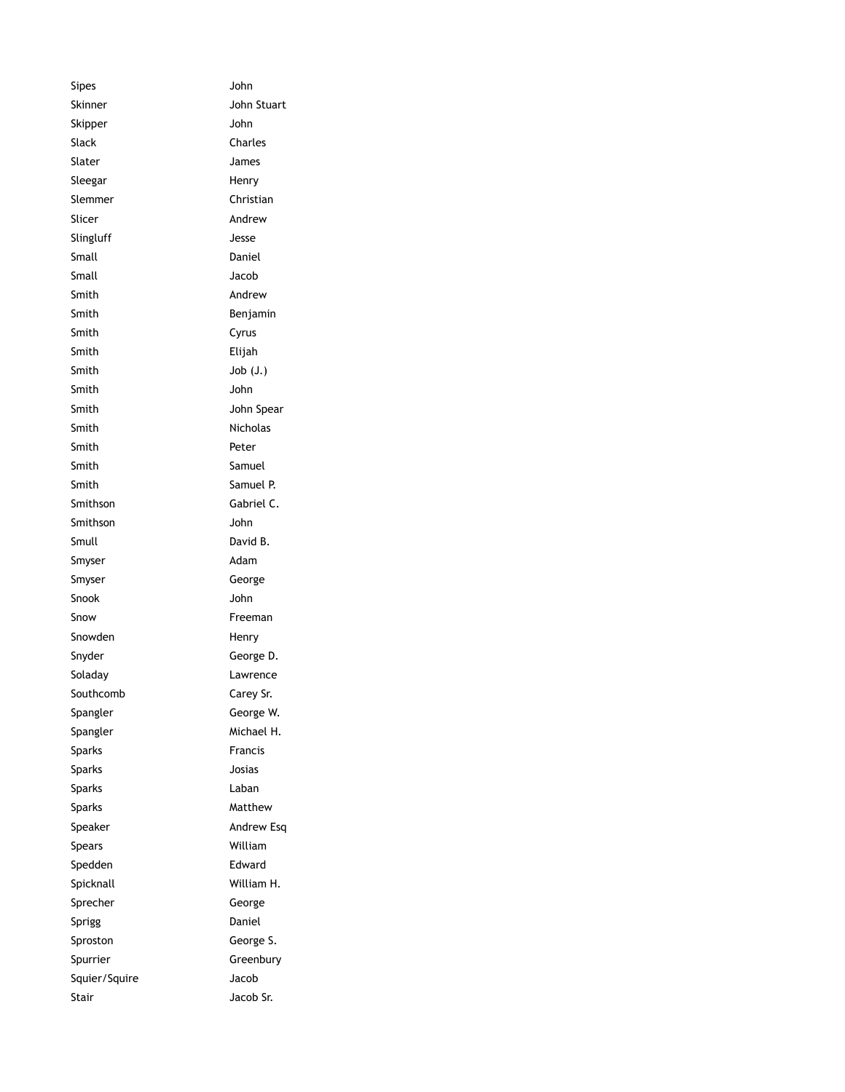Sipes **John** Skinner **John Stuart** Skipper John Slack Charles Slater James Sleegar Henry Slemmer Christian Slicer Andrew Slingluff Jesse Small Daniel Small Jacob Smith Andrew Smith **Benjamin** Smith Cyrus Smith Elijah Smith Job (J.) Smith John Smith John Spear Smith Nicholas Smith Peter Smith Samuel Smith Samuel P. Smithson Gabriel C. Smithson John Smull David B. Smyser Adam Smyser George Snook John Snow Freeman Snowden Henry Snyder George D. Soladay Lawrence Southcomb Carey Sr. Spangler George W. Spangler Michael H. Sparks Francis Sparks Josias Sparks Laban Sparks Matthew Speaker Andrew Esq Spears William Spedden **Edward** Spicknall William H. Sprecher George Sprigg Daniel Sproston George S. Spurrier Greenbury Squier/Squire Jacob Stair **Jacob Sr.**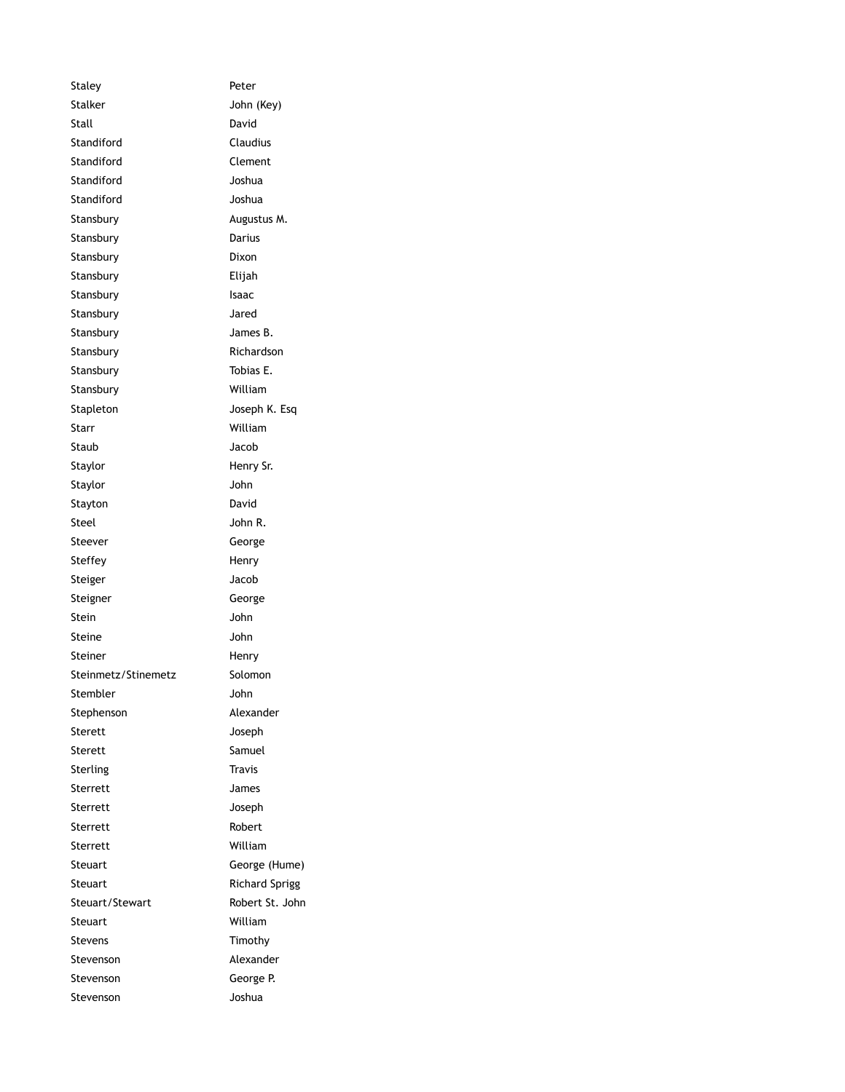Staley **Peter** Stalker John (Key) Stall David Standiford Claudius Standiford Clement Standiford Joshua Standiford Joshua Stansbury **Augustus M.** Stansbury Darius Stansbury Dixon Stansbury Elijah Stansbury **Isaac** Stansbury Jared Stansbury James B. Stansbury Richardson Stansbury Tobias E. Stansbury William Stapleton Joseph K. Esq Starr William Staub Jacob Staylor **Henry Sr.** Staylor **John** Stayton David Steel John R. Steever George Steffey Henry Steiger Jacob Steigner George Stein John Steine John Steiner Henry Steinmetz/Stinemetz Solomon Stembler John Stephenson Alexander Sterett Joseph Sterett Samuel Sterling Travis Sterrett James Sterrett Joseph Sterrett Robert Sterrett William Steuart George (Hume) Steuart Richard Sprigg Steuart/Stewart Robert St. John Steuart William Stevens Timothy Stevenson Alexander Stevenson George P. Stevenson Joshua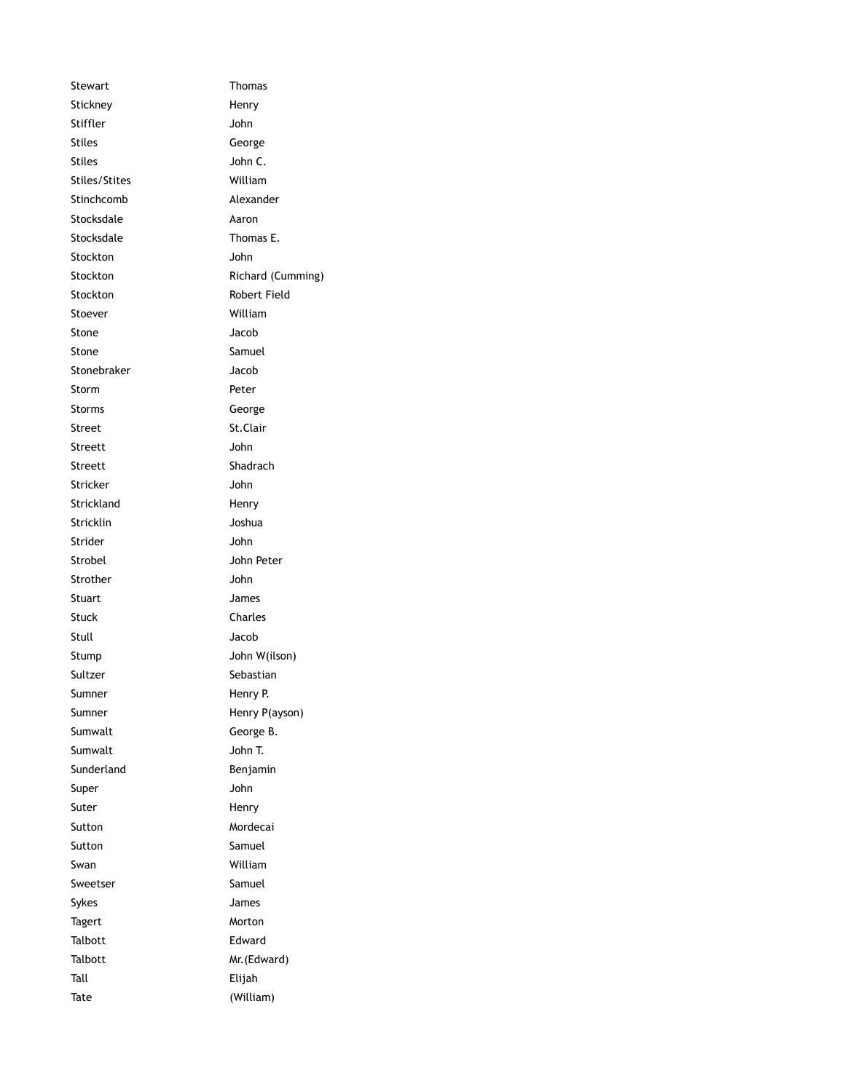Stewart **Thomas** Stickney **Henry** Stiffler John Stiles George Stiles John C. Stiles/Stites William Stinchcomb Alexander Stocksdale Aaron Stocksdale Thomas E. Stockton John Stockton Richard (Cumming) Stockton Robert Field Stoever **William** Stone Jacob Stone Samuel Stonebraker Jacob Storm Peter Storms George Street St.Clair Streett John Streett Shadrach Stricker John Strickland Henry Stricklin Joshua Strider John Strobel John Peter Strother **John** Stuart James Stuck Charles Stull Jacob Stump John W(ilson) Sultzer Sebastian Sumner Henry P. Sumner Henry P(ayson) Sumwalt George B. Sumwalt John T. Sunderland Benjamin Super John Suter Henry Sutton Mordecai Sutton Samuel Swan William Sweetser Samuel Sykes James Tagert Morton Talbott Edward Talbott Mr. (Edward) Tall Elijah Tate (William)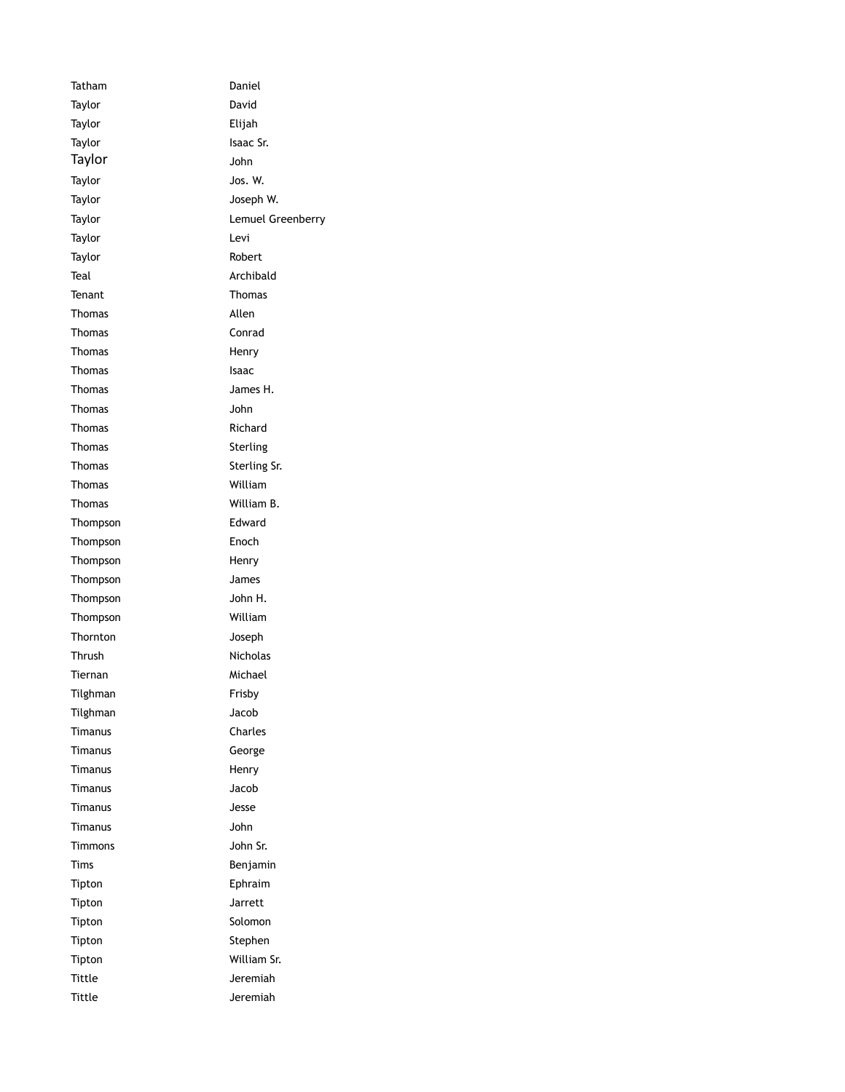Tatham Daniel Taylor David Taylor Elijah Taylor **Isaac Sr.** Isaac Sr. Taylor John Taylor **Jos. W.** Taylor Joseph W. Taylor **Lemuel Greenberry** Taylor **Levi** Taylor **Robert** Teal **Archibald** Tenant Thomas Thomas Allen Thomas Conrad Thomas Henry Thomas Isaac Thomas James H. Thomas John Thomas Richard Thomas Sterling Thomas Sterling Sr. Thomas William Thomas William B. Thompson **Edward** Thompson Enoch Thompson Henry Thompson James Thompson John H. Thompson William Thornton Joseph Thrush Nicholas Tiernan Michael Tilghman Frisby Tilghman Jacob Timanus Charles Timanus George Timanus Henry Timanus Jacob Timanus Jesse Timanus John Timmons John Sr. Tims Benjamin Tipton Ephraim Tipton Jarrett Tipton Solomon Tipton Stephen Tipton William Sr. Tittle **Jeremiah** Tittle **Jeremiah**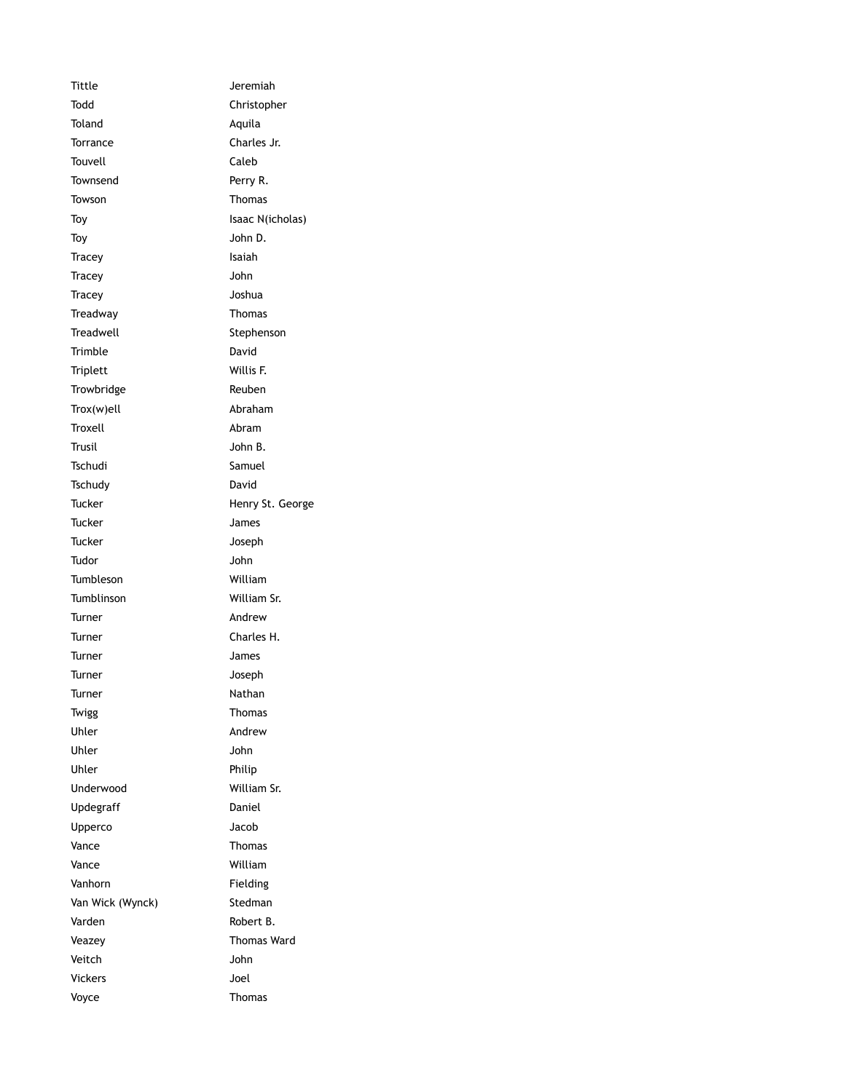Tittle **Jeremiah** Todd Christopher Toland Aquila Torrance Charles Jr. Touvell **Caleb** Townsend Perry R. Towson **Thomas** Toy Isaac N(icholas) Toy John D. Tracey **Isaiah** Tracey John Tracey Joshua Treadway Thomas Treadwell **Stephenson** Trimble David Triplett Willis F. Trowbridge Reuben Trox(w)ell Abraham Troxell **Abram** Trusil John B. Tschudi Samuel Tschudy David Tucker **Henry St. George** Tucker James Tucker Joseph Tudor John Tumbleson William Tumblinson William Sr. Turner Andrew Turner Charles H. Turner James Turner Joseph Turner Nathan Twigg **Thomas** Uhler Andrew Uhler John Uhler Philip Underwood William Sr. Updegraff Daniel Upperco Jacob Vance Thomas Vance William Vanhorn Fielding Van Wick (Wynck) Stedman Varden Robert B. Veazey Thomas Ward Veitch John Vickers Joel Voyce Thomas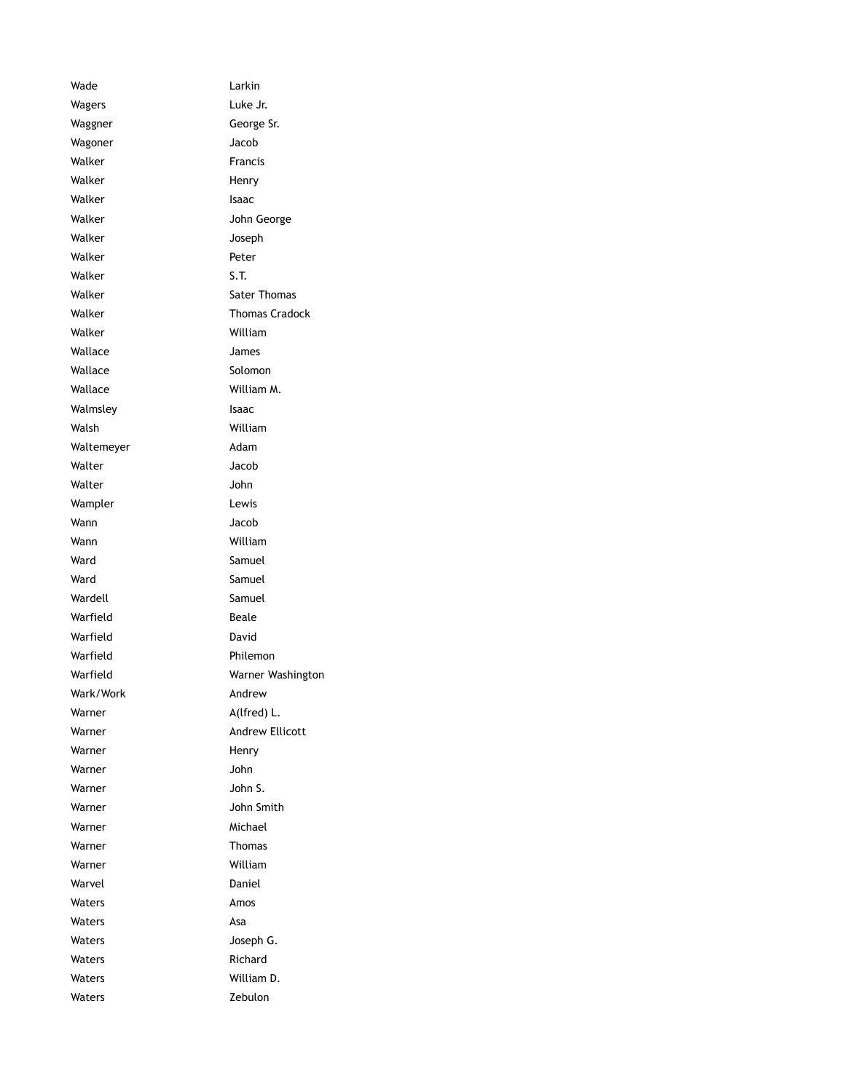Wade Larkin Wagers **Luke Jr.** Waggner George Sr. Wagoner **Jacob** Walker **Francis** Walker **Henry** Walker **Isaac** Walker **John George** Walker **Joseph** Walker **Peter** Walker S.T. Walker Sater Thomas Walker **Thomas Cradock** Walker William Wallace James Wallace Solomon Wallace William M. Walmsley **Isaac** Walsh William Waltemeyer **Adam** Walter Jacob Walter **John** Wampler **Lewis** Wann Jacob Wann William Ward Samuel Ward Samuel Wardell Samuel Warfield Beale Warfield David Warfield **Philemon** Warfield Warner Washington Wark/Work Andrew Warner A(lfred) L. Warner **Andrew Ellicott** Warner Henry Warner **Mathematic Strutter** John Warner **Warner** John S. Warner **Warner** John Smith Warner Michael Warner **Thomas** Warner William Warvel **Daniel** Waters **Amos** Waters Asa Waters **Waters** Joseph G. Waters **Richard** Waters William D. Waters **Zebulon**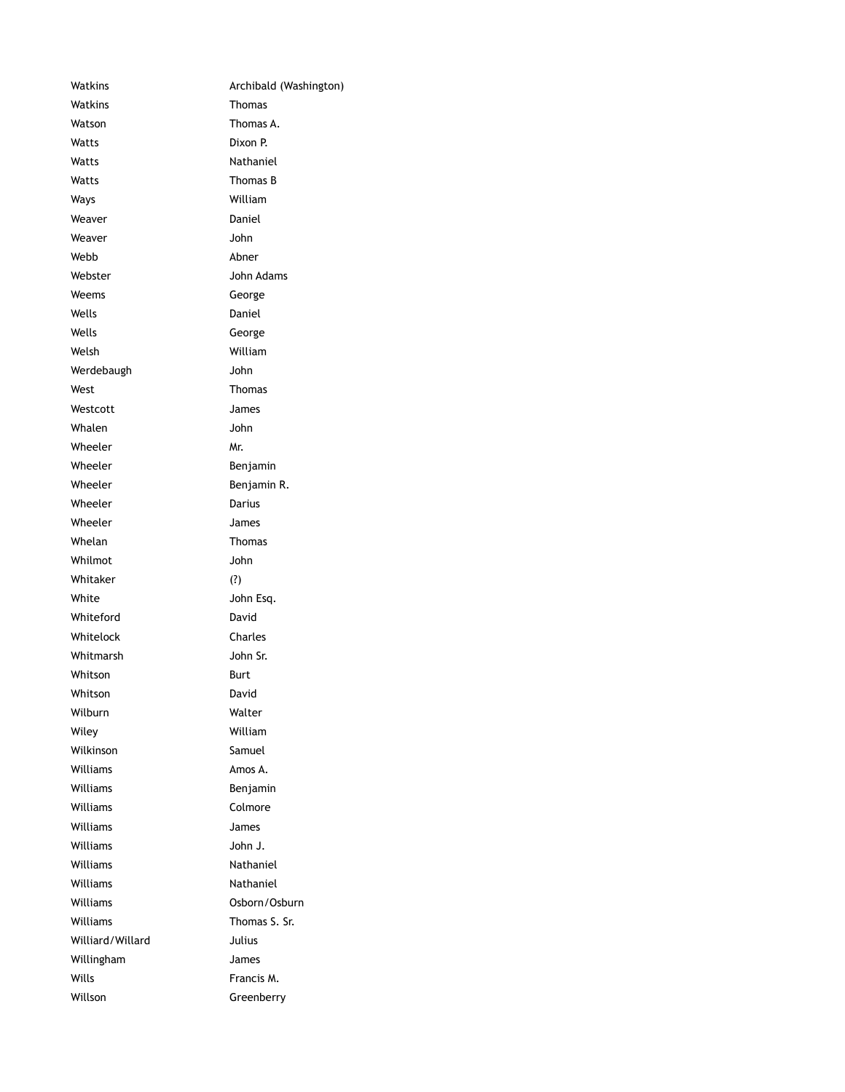Watkins **Archibald (Washington)** Watkins **Thomas** Watson **Thomas A.** Watts Dixon P. Watts **Nathaniel** Watts Thomas B Ways William Weaver **Daniel** Weaver **Manual** John Webb Abner Webster **Manufather** John Adams Weems George Wells **Daniel** Wells George Welsh William Werdebaugh John West Thomas Westcott James Whalen John Wheeler Mr. Wheeler **Benjamin** Wheeler Benjamin R. Wheeler **Darius** Wheeler **James** Whelan Thomas Whilmot John Whitaker (?) White **State State State State State State** John Esq. Whiteford David Whitelock Charles Whitmarsh John Sr. Whitson **Burt** Whitson David Wilburn Walter Wiley William Wilkinson Samuel Williams **Amos A.** Williams Benjamin Williams **Colmore** Williams James Williams John J. Williams Nathaniel Williams Nathaniel Williams Osborn/Osburn Williams Thomas S. Sr. Williard/Willard Julius Willingham James Wills **Francis M.** Willson Greenberry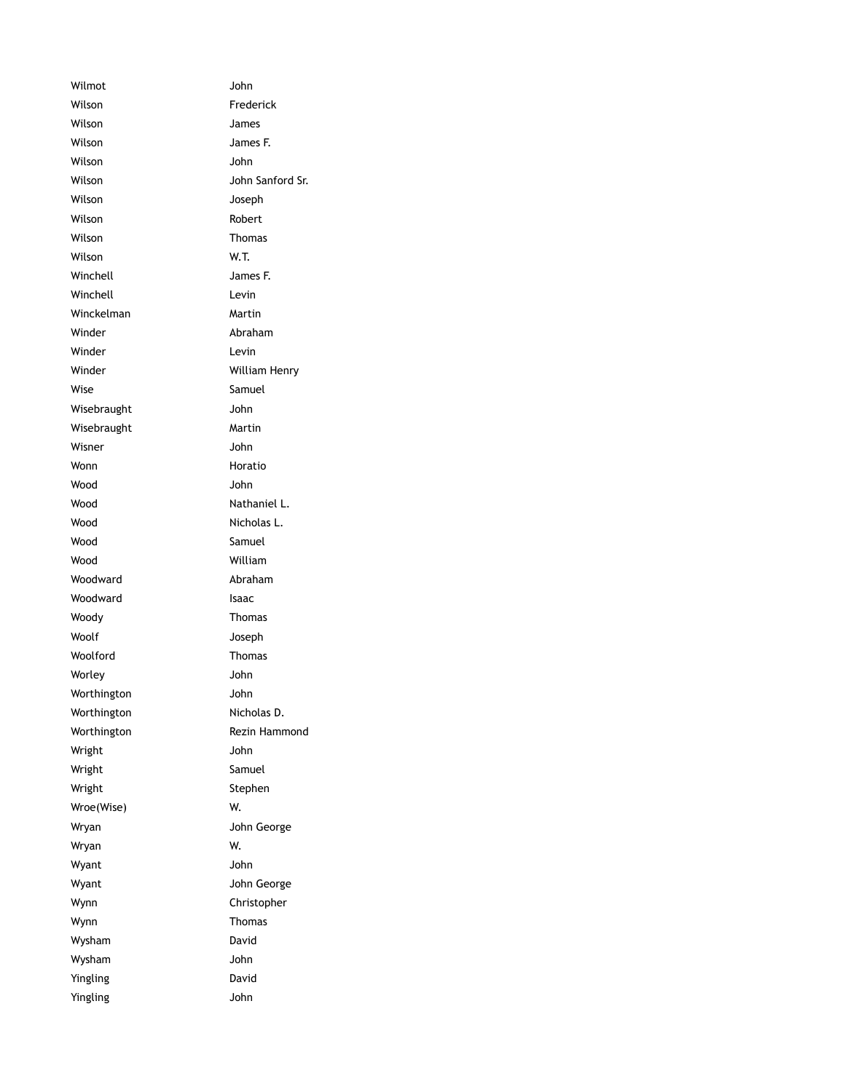Wilmot John Wilson **Frederick** Wilson James Wilson James F. Wilson John Wilson **John Sanford Sr.** Wilson Joseph Wilson **Robert** Wilson **Thomas** Wilson W.T. Winchell James F. Winchell **Levin** Winckelman Martin Winder **Abraham** Winder **Levin** Winder William Henry Wise Samuel Wisebraught John Wisebraught Martin Wisner **John** Wonn **Horatio** Wood John Wood Nathaniel L. Wood Nicholas L. Wood Samuel Wood William Woodward **Abraham** Woodward **Isaac** Woody **Thomas** Woolf **Woolf** Joseph Woolford Thomas Worley John Worthington John Worthington Nicholas D. Worthington Rezin Hammond Wright John Wright **Samuel** Wright **Stephen** Wroe(Wise) W. Wryan **With Communist Communist Communist Communist Communist Communist Communist Communist Communist Communist Communist Communist Communist Communist Communist Communist Communist Communist Communist Communist Communist** Wryan W. Wyant John Wyant **William Communist University** John George Wynn Christopher Wynn **Thomas** Wysham David Wysham John Yingling **David** Yingling John